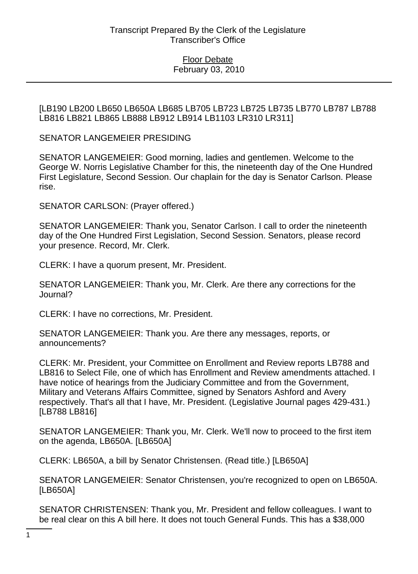[LB190 LB200 LB650 LB650A LB685 LB705 LB723 LB725 LB735 LB770 LB787 LB788 LB816 LB821 LB865 LB888 LB912 LB914 LB1103 LR310 LR311]

SENATOR LANGEMEIER PRESIDING

SENATOR LANGEMEIER: Good morning, ladies and gentlemen. Welcome to the George W. Norris Legislative Chamber for this, the nineteenth day of the One Hundred First Legislature, Second Session. Our chaplain for the day is Senator Carlson. Please rise.

SENATOR CARLSON: (Prayer offered.)

SENATOR LANGEMEIER: Thank you, Senator Carlson. I call to order the nineteenth day of the One Hundred First Legislation, Second Session. Senators, please record your presence. Record, Mr. Clerk.

CLERK: I have a quorum present, Mr. President.

SENATOR LANGEMEIER: Thank you, Mr. Clerk. Are there any corrections for the Journal?

CLERK: I have no corrections, Mr. President.

SENATOR LANGEMEIER: Thank you. Are there any messages, reports, or announcements?

CLERK: Mr. President, your Committee on Enrollment and Review reports LB788 and LB816 to Select File, one of which has Enrollment and Review amendments attached. I have notice of hearings from the Judiciary Committee and from the Government, Military and Veterans Affairs Committee, signed by Senators Ashford and Avery respectively. That's all that I have, Mr. President. (Legislative Journal pages 429-431.) [LB788 LB816]

SENATOR LANGEMEIER: Thank you, Mr. Clerk. We'll now to proceed to the first item on the agenda, LB650A. [LB650A]

CLERK: LB650A, a bill by Senator Christensen. (Read title.) [LB650A]

SENATOR LANGEMEIER: Senator Christensen, you're recognized to open on LB650A. [LB650A]

SENATOR CHRISTENSEN: Thank you, Mr. President and fellow colleagues. I want to be real clear on this A bill here. It does not touch General Funds. This has a \$38,000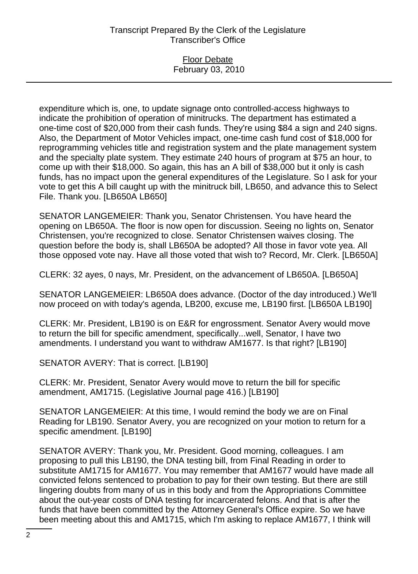### Floor Debate February 03, 2010

expenditure which is, one, to update signage onto controlled-access highways to indicate the prohibition of operation of minitrucks. The department has estimated a one-time cost of \$20,000 from their cash funds. They're using \$84 a sign and 240 signs. Also, the Department of Motor Vehicles impact, one-time cash fund cost of \$18,000 for reprogramming vehicles title and registration system and the plate management system and the specialty plate system. They estimate 240 hours of program at \$75 an hour, to come up with their \$18,000. So again, this has an A bill of \$38,000 but it only is cash funds, has no impact upon the general expenditures of the Legislature. So I ask for your vote to get this A bill caught up with the minitruck bill, LB650, and advance this to Select File. Thank you. [LB650A LB650]

SENATOR LANGEMEIER: Thank you, Senator Christensen. You have heard the opening on LB650A. The floor is now open for discussion. Seeing no lights on, Senator Christensen, you're recognized to close. Senator Christensen waives closing. The question before the body is, shall LB650A be adopted? All those in favor vote yea. All those opposed vote nay. Have all those voted that wish to? Record, Mr. Clerk. [LB650A]

CLERK: 32 ayes, 0 nays, Mr. President, on the advancement of LB650A. [LB650A]

SENATOR LANGEMEIER: LB650A does advance. (Doctor of the day introduced.) We'll now proceed on with today's agenda, LB200, excuse me, LB190 first. [LB650A LB190]

CLERK: Mr. President, LB190 is on E&R for engrossment. Senator Avery would move to return the bill for specific amendment, specifically...well, Senator, I have two amendments. I understand you want to withdraw AM1677. Is that right? [LB190]

SENATOR AVERY: That is correct. [LB190]

CLERK: Mr. President, Senator Avery would move to return the bill for specific amendment, AM1715. (Legislative Journal page 416.) [LB190]

SENATOR LANGEMEIER: At this time, I would remind the body we are on Final Reading for LB190. Senator Avery, you are recognized on your motion to return for a specific amendment. [LB190]

SENATOR AVERY: Thank you, Mr. President. Good morning, colleagues. I am proposing to pull this LB190, the DNA testing bill, from Final Reading in order to substitute AM1715 for AM1677. You may remember that AM1677 would have made all convicted felons sentenced to probation to pay for their own testing. But there are still lingering doubts from many of us in this body and from the Appropriations Committee about the out-year costs of DNA testing for incarcerated felons. And that is after the funds that have been committed by the Attorney General's Office expire. So we have been meeting about this and AM1715, which I'm asking to replace AM1677, I think will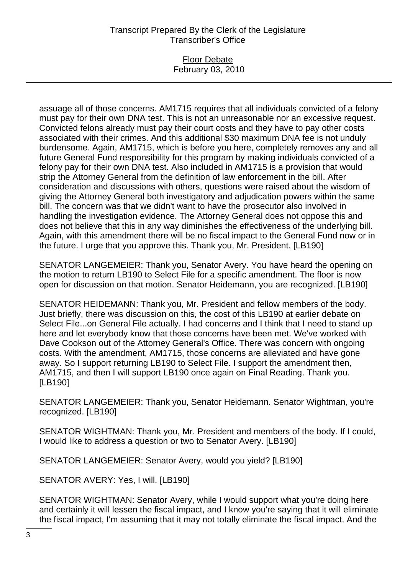#### Floor Debate February 03, 2010

assuage all of those concerns. AM1715 requires that all individuals convicted of a felony must pay for their own DNA test. This is not an unreasonable nor an excessive request. Convicted felons already must pay their court costs and they have to pay other costs associated with their crimes. And this additional \$30 maximum DNA fee is not unduly burdensome. Again, AM1715, which is before you here, completely removes any and all future General Fund responsibility for this program by making individuals convicted of a felony pay for their own DNA test. Also included in AM1715 is a provision that would strip the Attorney General from the definition of law enforcement in the bill. After consideration and discussions with others, questions were raised about the wisdom of giving the Attorney General both investigatory and adjudication powers within the same bill. The concern was that we didn't want to have the prosecutor also involved in handling the investigation evidence. The Attorney General does not oppose this and does not believe that this in any way diminishes the effectiveness of the underlying bill. Again, with this amendment there will be no fiscal impact to the General Fund now or in the future. I urge that you approve this. Thank you, Mr. President. [LB190]

SENATOR LANGEMEIER: Thank you, Senator Avery. You have heard the opening on the motion to return LB190 to Select File for a specific amendment. The floor is now open for discussion on that motion. Senator Heidemann, you are recognized. [LB190]

SENATOR HEIDEMANN: Thank you, Mr. President and fellow members of the body. Just briefly, there was discussion on this, the cost of this LB190 at earlier debate on Select File...on General File actually. I had concerns and I think that I need to stand up here and let everybody know that those concerns have been met. We've worked with Dave Cookson out of the Attorney General's Office. There was concern with ongoing costs. With the amendment, AM1715, those concerns are alleviated and have gone away. So I support returning LB190 to Select File. I support the amendment then, AM1715, and then I will support LB190 once again on Final Reading. Thank you. [LB190]

SENATOR LANGEMEIER: Thank you, Senator Heidemann. Senator Wightman, you're recognized. [LB190]

SENATOR WIGHTMAN: Thank you, Mr. President and members of the body. If I could, I would like to address a question or two to Senator Avery. [LB190]

SENATOR LANGEMEIER: Senator Avery, would you yield? [LB190]

SENATOR AVERY: Yes, I will. [LB190]

SENATOR WIGHTMAN: Senator Avery, while I would support what you're doing here and certainly it will lessen the fiscal impact, and I know you're saying that it will eliminate the fiscal impact, I'm assuming that it may not totally eliminate the fiscal impact. And the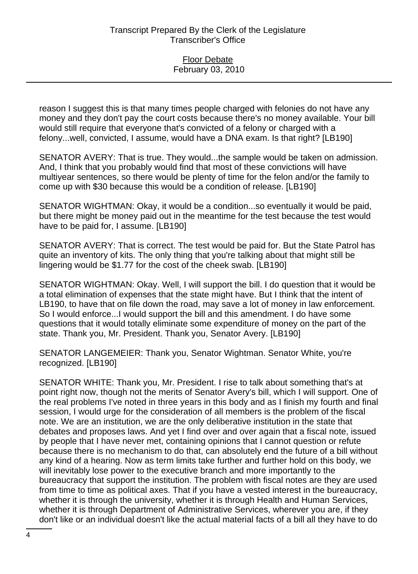reason I suggest this is that many times people charged with felonies do not have any money and they don't pay the court costs because there's no money available. Your bill would still require that everyone that's convicted of a felony or charged with a felony...well, convicted, I assume, would have a DNA exam. Is that right? [LB190]

SENATOR AVERY: That is true. They would...the sample would be taken on admission. And, I think that you probably would find that most of these convictions will have multiyear sentences, so there would be plenty of time for the felon and/or the family to come up with \$30 because this would be a condition of release. [LB190]

SENATOR WIGHTMAN: Okay, it would be a condition...so eventually it would be paid, but there might be money paid out in the meantime for the test because the test would have to be paid for, I assume. [LB190]

SENATOR AVERY: That is correct. The test would be paid for. But the State Patrol has quite an inventory of kits. The only thing that you're talking about that might still be lingering would be \$1.77 for the cost of the cheek swab. [LB190]

SENATOR WIGHTMAN: Okay. Well, I will support the bill. I do question that it would be a total elimination of expenses that the state might have. But I think that the intent of LB190, to have that on file down the road, may save a lot of money in law enforcement. So I would enforce...I would support the bill and this amendment. I do have some questions that it would totally eliminate some expenditure of money on the part of the state. Thank you, Mr. President. Thank you, Senator Avery. [LB190]

SENATOR LANGEMEIER: Thank you, Senator Wightman. Senator White, you're recognized. [LB190]

SENATOR WHITE: Thank you, Mr. President. I rise to talk about something that's at point right now, though not the merits of Senator Avery's bill, which I will support. One of the real problems I've noted in three years in this body and as I finish my fourth and final session, I would urge for the consideration of all members is the problem of the fiscal note. We are an institution, we are the only deliberative institution in the state that debates and proposes laws. And yet I find over and over again that a fiscal note, issued by people that I have never met, containing opinions that I cannot question or refute because there is no mechanism to do that, can absolutely end the future of a bill without any kind of a hearing. Now as term limits take further and further hold on this body, we will inevitably lose power to the executive branch and more importantly to the bureaucracy that support the institution. The problem with fiscal notes are they are used from time to time as political axes. That if you have a vested interest in the bureaucracy, whether it is through the university, whether it is through Health and Human Services, whether it is through Department of Administrative Services, wherever you are, if they don't like or an individual doesn't like the actual material facts of a bill all they have to do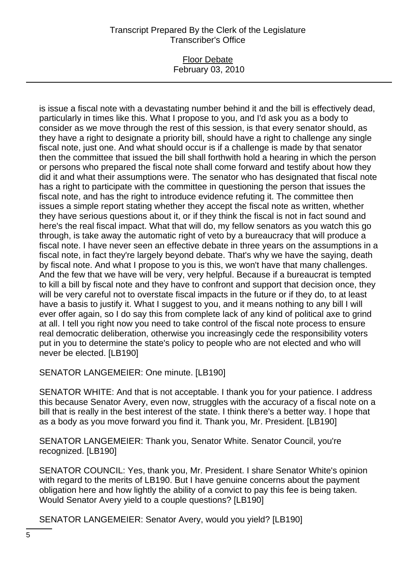### Floor Debate February 03, 2010

is issue a fiscal note with a devastating number behind it and the bill is effectively dead, particularly in times like this. What I propose to you, and I'd ask you as a body to consider as we move through the rest of this session, is that every senator should, as they have a right to designate a priority bill, should have a right to challenge any single fiscal note, just one. And what should occur is if a challenge is made by that senator then the committee that issued the bill shall forthwith hold a hearing in which the person or persons who prepared the fiscal note shall come forward and testify about how they did it and what their assumptions were. The senator who has designated that fiscal note has a right to participate with the committee in questioning the person that issues the fiscal note, and has the right to introduce evidence refuting it. The committee then issues a simple report stating whether they accept the fiscal note as written, whether they have serious questions about it, or if they think the fiscal is not in fact sound and here's the real fiscal impact. What that will do, my fellow senators as you watch this go through, is take away the automatic right of veto by a bureaucracy that will produce a fiscal note. I have never seen an effective debate in three years on the assumptions in a fiscal note, in fact they're largely beyond debate. That's why we have the saying, death by fiscal note. And what I propose to you is this, we won't have that many challenges. And the few that we have will be very, very helpful. Because if a bureaucrat is tempted to kill a bill by fiscal note and they have to confront and support that decision once, they will be very careful not to overstate fiscal impacts in the future or if they do, to at least have a basis to justify it. What I suggest to you, and it means nothing to any bill I will ever offer again, so I do say this from complete lack of any kind of political axe to grind at all. I tell you right now you need to take control of the fiscal note process to ensure real democratic deliberation, otherwise you increasingly cede the responsibility voters put in you to determine the state's policy to people who are not elected and who will never be elected. [LB190]

SENATOR LANGEMEIER: One minute. [LB190]

SENATOR WHITE: And that is not acceptable. I thank you for your patience. I address this because Senator Avery, even now, struggles with the accuracy of a fiscal note on a bill that is really in the best interest of the state. I think there's a better way. I hope that as a body as you move forward you find it. Thank you, Mr. President. [LB190]

SENATOR LANGEMEIER: Thank you, Senator White. Senator Council, you're recognized. [LB190]

SENATOR COUNCIL: Yes, thank you, Mr. President. I share Senator White's opinion with regard to the merits of LB190. But I have genuine concerns about the payment obligation here and how lightly the ability of a convict to pay this fee is being taken. Would Senator Avery yield to a couple questions? [LB190]

SENATOR LANGEMEIER: Senator Avery, would you yield? [LB190]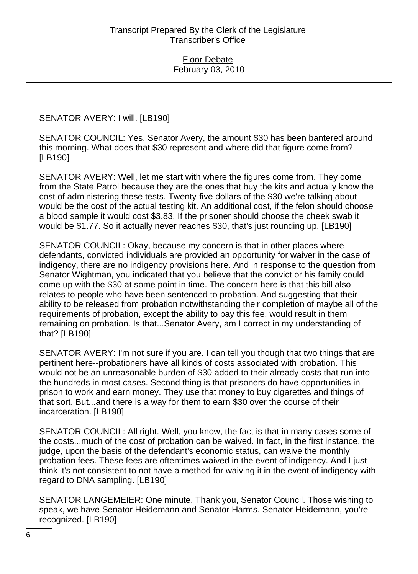SENATOR AVERY: I will. [LB190]

SENATOR COUNCIL: Yes, Senator Avery, the amount \$30 has been bantered around this morning. What does that \$30 represent and where did that figure come from? [LB190]

SENATOR AVERY: Well, let me start with where the figures come from. They come from the State Patrol because they are the ones that buy the kits and actually know the cost of administering these tests. Twenty-five dollars of the \$30 we're talking about would be the cost of the actual testing kit. An additional cost, if the felon should choose a blood sample it would cost \$3.83. If the prisoner should choose the cheek swab it would be \$1.77. So it actually never reaches \$30, that's just rounding up. [LB190]

SENATOR COUNCIL: Okay, because my concern is that in other places where defendants, convicted individuals are provided an opportunity for waiver in the case of indigency, there are no indigency provisions here. And in response to the question from Senator Wightman, you indicated that you believe that the convict or his family could come up with the \$30 at some point in time. The concern here is that this bill also relates to people who have been sentenced to probation. And suggesting that their ability to be released from probation notwithstanding their completion of maybe all of the requirements of probation, except the ability to pay this fee, would result in them remaining on probation. Is that...Senator Avery, am I correct in my understanding of that? [LB190]

SENATOR AVERY: I'm not sure if you are. I can tell you though that two things that are pertinent here--probationers have all kinds of costs associated with probation. This would not be an unreasonable burden of \$30 added to their already costs that run into the hundreds in most cases. Second thing is that prisoners do have opportunities in prison to work and earn money. They use that money to buy cigarettes and things of that sort. But...and there is a way for them to earn \$30 over the course of their incarceration. [LB190]

SENATOR COUNCIL: All right. Well, you know, the fact is that in many cases some of the costs...much of the cost of probation can be waived. In fact, in the first instance, the judge, upon the basis of the defendant's economic status, can waive the monthly probation fees. These fees are oftentimes waived in the event of indigency. And I just think it's not consistent to not have a method for waiving it in the event of indigency with regard to DNA sampling. [LB190]

SENATOR LANGEMEIER: One minute. Thank you, Senator Council. Those wishing to speak, we have Senator Heidemann and Senator Harms. Senator Heidemann, you're recognized. [LB190]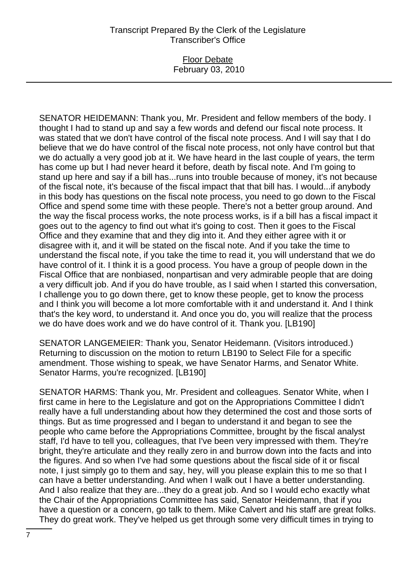### Floor Debate February 03, 2010

SENATOR HEIDEMANN: Thank you, Mr. President and fellow members of the body. I thought I had to stand up and say a few words and defend our fiscal note process. It was stated that we don't have control of the fiscal note process. And I will say that I do believe that we do have control of the fiscal note process, not only have control but that we do actually a very good job at it. We have heard in the last couple of years, the term has come up but I had never heard it before, death by fiscal note. And I'm going to stand up here and say if a bill has...runs into trouble because of money, it's not because of the fiscal note, it's because of the fiscal impact that that bill has. I would...if anybody in this body has questions on the fiscal note process, you need to go down to the Fiscal Office and spend some time with these people. There's not a better group around. And the way the fiscal process works, the note process works, is if a bill has a fiscal impact it goes out to the agency to find out what it's going to cost. Then it goes to the Fiscal Office and they examine that and they dig into it. And they either agree with it or disagree with it, and it will be stated on the fiscal note. And if you take the time to understand the fiscal note, if you take the time to read it, you will understand that we do have control of it. I think it is a good process. You have a group of people down in the Fiscal Office that are nonbiased, nonpartisan and very admirable people that are doing a very difficult job. And if you do have trouble, as I said when I started this conversation, I challenge you to go down there, get to know these people, get to know the process and I think you will become a lot more comfortable with it and understand it. And I think that's the key word, to understand it. And once you do, you will realize that the process we do have does work and we do have control of it. Thank you. [LB190]

SENATOR LANGEMEIER: Thank you, Senator Heidemann. (Visitors introduced.) Returning to discussion on the motion to return LB190 to Select File for a specific amendment. Those wishing to speak, we have Senator Harms, and Senator White. Senator Harms, you're recognized. [LB190]

SENATOR HARMS: Thank you, Mr. President and colleagues. Senator White, when I first came in here to the Legislature and got on the Appropriations Committee I didn't really have a full understanding about how they determined the cost and those sorts of things. But as time progressed and I began to understand it and began to see the people who came before the Appropriations Committee, brought by the fiscal analyst staff, I'd have to tell you, colleagues, that I've been very impressed with them. They're bright, they're articulate and they really zero in and burrow down into the facts and into the figures. And so when I've had some questions about the fiscal side of it or fiscal note, I just simply go to them and say, hey, will you please explain this to me so that I can have a better understanding. And when I walk out I have a better understanding. And I also realize that they are...they do a great job. And so I would echo exactly what the Chair of the Appropriations Committee has said, Senator Heidemann, that if you have a question or a concern, go talk to them. Mike Calvert and his staff are great folks. They do great work. They've helped us get through some very difficult times in trying to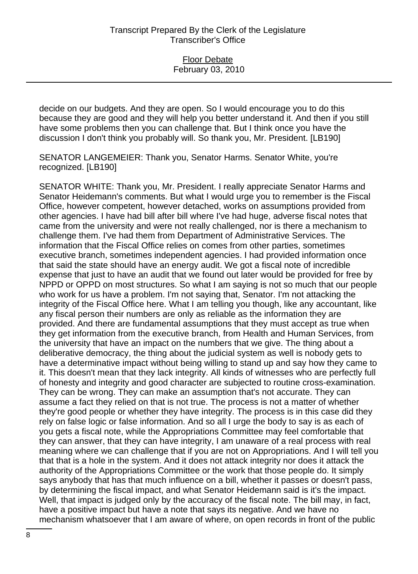decide on our budgets. And they are open. So I would encourage you to do this because they are good and they will help you better understand it. And then if you still have some problems then you can challenge that. But I think once you have the discussion I don't think you probably will. So thank you, Mr. President. [LB190]

SENATOR LANGEMEIER: Thank you, Senator Harms. Senator White, you're recognized. [LB190]

SENATOR WHITE: Thank you, Mr. President. I really appreciate Senator Harms and Senator Heidemann's comments. But what I would urge you to remember is the Fiscal Office, however competent, however detached, works on assumptions provided from other agencies. I have had bill after bill where I've had huge, adverse fiscal notes that came from the university and were not really challenged, nor is there a mechanism to challenge them. I've had them from Department of Administrative Services. The information that the Fiscal Office relies on comes from other parties, sometimes executive branch, sometimes independent agencies. I had provided information once that said the state should have an energy audit. We got a fiscal note of incredible expense that just to have an audit that we found out later would be provided for free by NPPD or OPPD on most structures. So what I am saying is not so much that our people who work for us have a problem. I'm not saying that, Senator. I'm not attacking the integrity of the Fiscal Office here. What I am telling you though, like any accountant, like any fiscal person their numbers are only as reliable as the information they are provided. And there are fundamental assumptions that they must accept as true when they get information from the executive branch, from Health and Human Services, from the university that have an impact on the numbers that we give. The thing about a deliberative democracy, the thing about the judicial system as well is nobody gets to have a determinative impact without being willing to stand up and say how they came to it. This doesn't mean that they lack integrity. All kinds of witnesses who are perfectly full of honesty and integrity and good character are subjected to routine cross-examination. They can be wrong. They can make an assumption that's not accurate. They can assume a fact they relied on that is not true. The process is not a matter of whether they're good people or whether they have integrity. The process is in this case did they rely on false logic or false information. And so all I urge the body to say is as each of you gets a fiscal note, while the Appropriations Committee may feel comfortable that they can answer, that they can have integrity, I am unaware of a real process with real meaning where we can challenge that if you are not on Appropriations. And I will tell you that that is a hole in the system. And it does not attack integrity nor does it attack the authority of the Appropriations Committee or the work that those people do. It simply says anybody that has that much influence on a bill, whether it passes or doesn't pass, by determining the fiscal impact, and what Senator Heidemann said is it's the impact. Well, that impact is judged only by the accuracy of the fiscal note. The bill may, in fact, have a positive impact but have a note that says its negative. And we have no mechanism whatsoever that I am aware of where, on open records in front of the public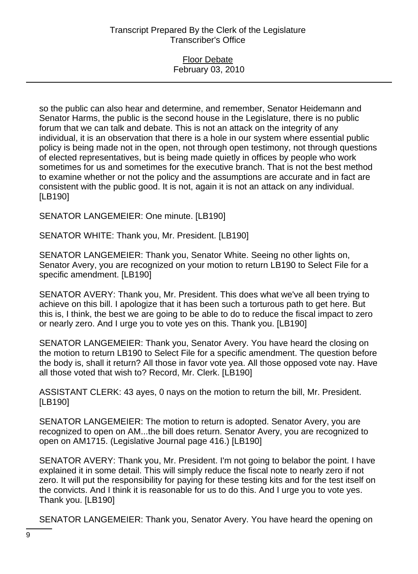#### Floor Debate February 03, 2010

so the public can also hear and determine, and remember, Senator Heidemann and Senator Harms, the public is the second house in the Legislature, there is no public forum that we can talk and debate. This is not an attack on the integrity of any individual, it is an observation that there is a hole in our system where essential public policy is being made not in the open, not through open testimony, not through questions of elected representatives, but is being made quietly in offices by people who work sometimes for us and sometimes for the executive branch. That is not the best method to examine whether or not the policy and the assumptions are accurate and in fact are consistent with the public good. It is not, again it is not an attack on any individual. [LB190]

## SENATOR LANGEMEIER: One minute. [LB190]

SENATOR WHITE: Thank you, Mr. President. [LB190]

SENATOR LANGEMEIER: Thank you, Senator White. Seeing no other lights on, Senator Avery, you are recognized on your motion to return LB190 to Select File for a specific amendment. [LB190]

SENATOR AVERY: Thank you, Mr. President. This does what we've all been trying to achieve on this bill. I apologize that it has been such a torturous path to get here. But this is, I think, the best we are going to be able to do to reduce the fiscal impact to zero or nearly zero. And I urge you to vote yes on this. Thank you. [LB190]

SENATOR LANGEMEIER: Thank you, Senator Avery. You have heard the closing on the motion to return LB190 to Select File for a specific amendment. The question before the body is, shall it return? All those in favor vote yea. All those opposed vote nay. Have all those voted that wish to? Record, Mr. Clerk. [LB190]

ASSISTANT CLERK: 43 ayes, 0 nays on the motion to return the bill, Mr. President. [LB190]

SENATOR LANGEMEIER: The motion to return is adopted. Senator Avery, you are recognized to open on AM...the bill does return. Senator Avery, you are recognized to open on AM1715. (Legislative Journal page 416.) [LB190]

SENATOR AVERY: Thank you, Mr. President. I'm not going to belabor the point. I have explained it in some detail. This will simply reduce the fiscal note to nearly zero if not zero. It will put the responsibility for paying for these testing kits and for the test itself on the convicts. And I think it is reasonable for us to do this. And I urge you to vote yes. Thank you. [LB190]

SENATOR LANGEMEIER: Thank you, Senator Avery. You have heard the opening on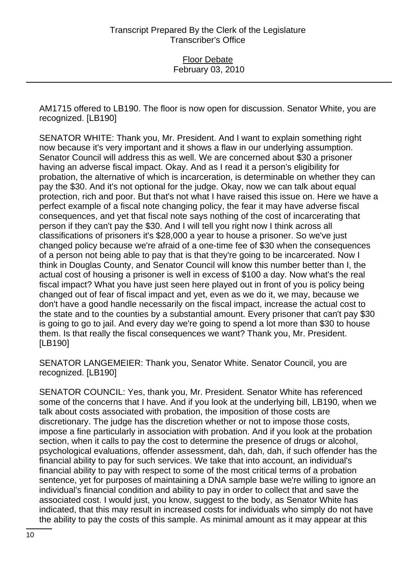AM1715 offered to LB190. The floor is now open for discussion. Senator White, you are recognized. [LB190]

SENATOR WHITE: Thank you, Mr. President. And I want to explain something right now because it's very important and it shows a flaw in our underlying assumption. Senator Council will address this as well. We are concerned about \$30 a prisoner having an adverse fiscal impact. Okay. And as I read it a person's eligibility for probation, the alternative of which is incarceration, is determinable on whether they can pay the \$30. And it's not optional for the judge. Okay, now we can talk about equal protection, rich and poor. But that's not what I have raised this issue on. Here we have a perfect example of a fiscal note changing policy, the fear it may have adverse fiscal consequences, and yet that fiscal note says nothing of the cost of incarcerating that person if they can't pay the \$30. And I will tell you right now I think across all classifications of prisoners it's \$28,000 a year to house a prisoner. So we've just changed policy because we're afraid of a one-time fee of \$30 when the consequences of a person not being able to pay that is that they're going to be incarcerated. Now I think in Douglas County, and Senator Council will know this number better than I, the actual cost of housing a prisoner is well in excess of \$100 a day. Now what's the real fiscal impact? What you have just seen here played out in front of you is policy being changed out of fear of fiscal impact and yet, even as we do it, we may, because we don't have a good handle necessarily on the fiscal impact, increase the actual cost to the state and to the counties by a substantial amount. Every prisoner that can't pay \$30 is going to go to jail. And every day we're going to spend a lot more than \$30 to house them. Is that really the fiscal consequences we want? Thank you, Mr. President. [LB190]

SENATOR LANGEMEIER: Thank you, Senator White. Senator Council, you are recognized. [LB190]

SENATOR COUNCIL: Yes, thank you, Mr. President. Senator White has referenced some of the concerns that I have. And if you look at the underlying bill, LB190, when we talk about costs associated with probation, the imposition of those costs are discretionary. The judge has the discretion whether or not to impose those costs, impose a fine particularly in association with probation. And if you look at the probation section, when it calls to pay the cost to determine the presence of drugs or alcohol, psychological evaluations, offender assessment, dah, dah, dah, if such offender has the financial ability to pay for such services. We take that into account, an individual's financial ability to pay with respect to some of the most critical terms of a probation sentence, yet for purposes of maintaining a DNA sample base we're willing to ignore an individual's financial condition and ability to pay in order to collect that and save the associated cost. I would just, you know, suggest to the body, as Senator White has indicated, that this may result in increased costs for individuals who simply do not have the ability to pay the costs of this sample. As minimal amount as it may appear at this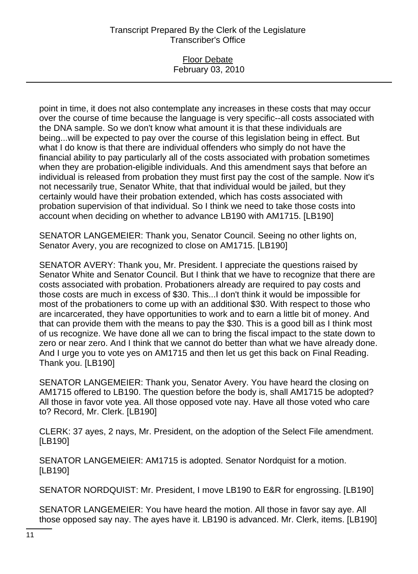### Floor Debate February 03, 2010

point in time, it does not also contemplate any increases in these costs that may occur over the course of time because the language is very specific--all costs associated with the DNA sample. So we don't know what amount it is that these individuals are being...will be expected to pay over the course of this legislation being in effect. But what I do know is that there are individual offenders who simply do not have the financial ability to pay particularly all of the costs associated with probation sometimes when they are probation-eligible individuals. And this amendment says that before an individual is released from probation they must first pay the cost of the sample. Now it's not necessarily true, Senator White, that that individual would be jailed, but they certainly would have their probation extended, which has costs associated with probation supervision of that individual. So I think we need to take those costs into account when deciding on whether to advance LB190 with AM1715. [LB190]

SENATOR LANGEMEIER: Thank you, Senator Council. Seeing no other lights on, Senator Avery, you are recognized to close on AM1715. [LB190]

SENATOR AVERY: Thank you, Mr. President. I appreciate the questions raised by Senator White and Senator Council. But I think that we have to recognize that there are costs associated with probation. Probationers already are required to pay costs and those costs are much in excess of \$30. This...I don't think it would be impossible for most of the probationers to come up with an additional \$30. With respect to those who are incarcerated, they have opportunities to work and to earn a little bit of money. And that can provide them with the means to pay the \$30. This is a good bill as I think most of us recognize. We have done all we can to bring the fiscal impact to the state down to zero or near zero. And I think that we cannot do better than what we have already done. And I urge you to vote yes on AM1715 and then let us get this back on Final Reading. Thank you. [LB190]

SENATOR LANGEMEIER: Thank you, Senator Avery. You have heard the closing on AM1715 offered to LB190. The question before the body is, shall AM1715 be adopted? All those in favor vote yea. All those opposed vote nay. Have all those voted who care to? Record, Mr. Clerk. [LB190]

CLERK: 37 ayes, 2 nays, Mr. President, on the adoption of the Select File amendment. [LB190]

SENATOR LANGEMEIER: AM1715 is adopted. Senator Nordquist for a motion. [LB190]

SENATOR NORDQUIST: Mr. President, I move LB190 to E&R for engrossing. [LB190]

SENATOR LANGEMEIER: You have heard the motion. All those in favor say aye. All those opposed say nay. The ayes have it. LB190 is advanced. Mr. Clerk, items. [LB190]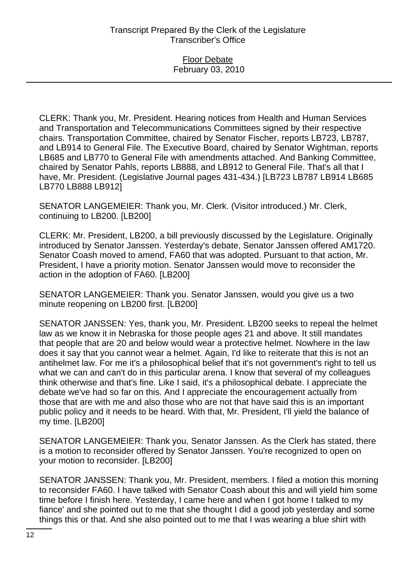### Floor Debate February 03, 2010

CLERK: Thank you, Mr. President. Hearing notices from Health and Human Services and Transportation and Telecommunications Committees signed by their respective chairs. Transportation Committee, chaired by Senator Fischer, reports LB723, LB787, and LB914 to General File. The Executive Board, chaired by Senator Wightman, reports LB685 and LB770 to General File with amendments attached. And Banking Committee, chaired by Senator Pahls, reports LB888, and LB912 to General File. That's all that I have, Mr. President. (Legislative Journal pages 431-434.) [LB723 LB787 LB914 LB685 LB770 LB888 LB912]

SENATOR LANGEMEIER: Thank you, Mr. Clerk. (Visitor introduced.) Mr. Clerk, continuing to LB200. [LB200]

CLERK: Mr. President, LB200, a bill previously discussed by the Legislature. Originally introduced by Senator Janssen. Yesterday's debate, Senator Janssen offered AM1720. Senator Coash moved to amend, FA60 that was adopted. Pursuant to that action, Mr. President, I have a priority motion. Senator Janssen would move to reconsider the action in the adoption of FA60. [LB200]

SENATOR LANGEMEIER: Thank you. Senator Janssen, would you give us a two minute reopening on LB200 first. [LB200]

SENATOR JANSSEN: Yes, thank you, Mr. President. LB200 seeks to repeal the helmet law as we know it in Nebraska for those people ages 21 and above. It still mandates that people that are 20 and below would wear a protective helmet. Nowhere in the law does it say that you cannot wear a helmet. Again, I'd like to reiterate that this is not an antihelmet law. For me it's a philosophical belief that it's not government's right to tell us what we can and can't do in this particular arena. I know that several of my colleagues think otherwise and that's fine. Like I said, it's a philosophical debate. I appreciate the debate we've had so far on this. And I appreciate the encouragement actually from those that are with me and also those who are not that have said this is an important public policy and it needs to be heard. With that, Mr. President, I'll yield the balance of my time. [LB200]

SENATOR LANGEMEIER: Thank you, Senator Janssen. As the Clerk has stated, there is a motion to reconsider offered by Senator Janssen. You're recognized to open on your motion to reconsider. [LB200]

SENATOR JANSSEN: Thank you, Mr. President, members. I filed a motion this morning to reconsider FA60. I have talked with Senator Coash about this and will yield him some time before I finish here. Yesterday, I came here and when I got home I talked to my fiance' and she pointed out to me that she thought I did a good job yesterday and some things this or that. And she also pointed out to me that I was wearing a blue shirt with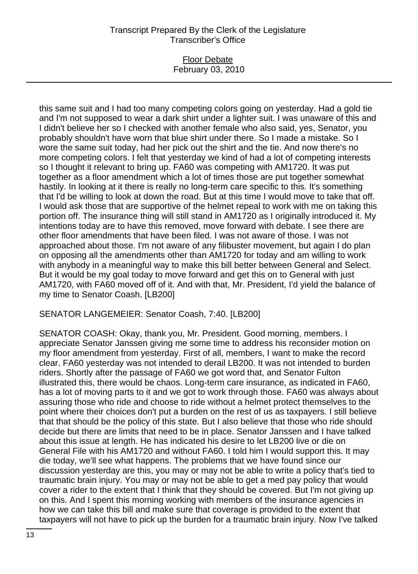### Floor Debate February 03, 2010

this same suit and I had too many competing colors going on yesterday. Had a gold tie and I'm not supposed to wear a dark shirt under a lighter suit. I was unaware of this and I didn't believe her so I checked with another female who also said, yes, Senator, you probably shouldn't have worn that blue shirt under there. So I made a mistake. So I wore the same suit today, had her pick out the shirt and the tie. And now there's no more competing colors. I felt that yesterday we kind of had a lot of competing interests so I thought it relevant to bring up. FA60 was competing with AM1720. It was put together as a floor amendment which a lot of times those are put together somewhat hastily. In looking at it there is really no long-term care specific to this. It's something that I'd be willing to look at down the road. But at this time I would move to take that off. I would ask those that are supportive of the helmet repeal to work with me on taking this portion off. The insurance thing will still stand in AM1720 as I originally introduced it. My intentions today are to have this removed, move forward with debate. I see there are other floor amendments that have been filed. I was not aware of those. I was not approached about those. I'm not aware of any filibuster movement, but again I do plan on opposing all the amendments other than AM1720 for today and am willing to work with anybody in a meaningful way to make this bill better between General and Select. But it would be my goal today to move forward and get this on to General with just AM1720, with FA60 moved off of it. And with that, Mr. President, I'd yield the balance of my time to Senator Coash. [LB200]

SENATOR LANGEMEIER: Senator Coash, 7:40. [LB200]

SENATOR COASH: Okay, thank you, Mr. President. Good morning, members. I appreciate Senator Janssen giving me some time to address his reconsider motion on my floor amendment from yesterday. First of all, members, I want to make the record clear. FA60 yesterday was not intended to derail LB200. It was not intended to burden riders. Shortly after the passage of FA60 we got word that, and Senator Fulton illustrated this, there would be chaos. Long-term care insurance, as indicated in FA60, has a lot of moving parts to it and we got to work through those. FA60 was always about assuring those who ride and choose to ride without a helmet protect themselves to the point where their choices don't put a burden on the rest of us as taxpayers. I still believe that that should be the policy of this state. But I also believe that those who ride should decide but there are limits that need to be in place. Senator Janssen and I have talked about this issue at length. He has indicated his desire to let LB200 live or die on General File with his AM1720 and without FA60. I told him I would support this. It may die today, we'll see what happens. The problems that we have found since our discussion yesterday are this, you may or may not be able to write a policy that's tied to traumatic brain injury. You may or may not be able to get a med pay policy that would cover a rider to the extent that I think that they should be covered. But I'm not giving up on this. And I spent this morning working with members of the insurance agencies in how we can take this bill and make sure that coverage is provided to the extent that taxpayers will not have to pick up the burden for a traumatic brain injury. Now I've talked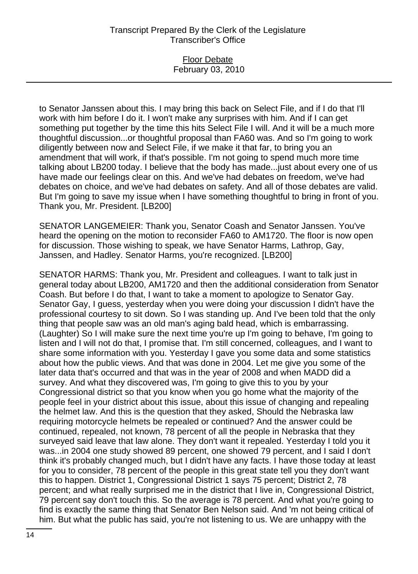### Floor Debate February 03, 2010

to Senator Janssen about this. I may bring this back on Select File, and if I do that I'll work with him before I do it. I won't make any surprises with him. And if I can get something put together by the time this hits Select File I will. And it will be a much more thoughtful discussion...or thoughtful proposal than FA60 was. And so I'm going to work diligently between now and Select File, if we make it that far, to bring you an amendment that will work, if that's possible. I'm not going to spend much more time talking about LB200 today. I believe that the body has made...just about every one of us have made our feelings clear on this. And we've had debates on freedom, we've had debates on choice, and we've had debates on safety. And all of those debates are valid. But I'm going to save my issue when I have something thoughtful to bring in front of you. Thank you, Mr. President. [LB200]

SENATOR LANGEMEIER: Thank you, Senator Coash and Senator Janssen. You've heard the opening on the motion to reconsider FA60 to AM1720. The floor is now open for discussion. Those wishing to speak, we have Senator Harms, Lathrop, Gay, Janssen, and Hadley. Senator Harms, you're recognized. [LB200]

SENATOR HARMS: Thank you, Mr. President and colleagues. I want to talk just in general today about LB200, AM1720 and then the additional consideration from Senator Coash. But before I do that, I want to take a moment to apologize to Senator Gay. Senator Gay, I guess, yesterday when you were doing your discussion I didn't have the professional courtesy to sit down. So I was standing up. And I've been told that the only thing that people saw was an old man's aging bald head, which is embarrassing. (Laughter) So I will make sure the next time you're up I'm going to behave, I'm going to listen and I will not do that, I promise that. I'm still concerned, colleagues, and I want to share some information with you. Yesterday I gave you some data and some statistics about how the public views. And that was done in 2004. Let me give you some of the later data that's occurred and that was in the year of 2008 and when MADD did a survey. And what they discovered was, I'm going to give this to you by your Congressional district so that you know when you go home what the majority of the people feel in your district about this issue, about this issue of changing and repealing the helmet law. And this is the question that they asked, Should the Nebraska law requiring motorcycle helmets be repealed or continued? And the answer could be continued, repealed, not known, 78 percent of all the people in Nebraska that they surveyed said leave that law alone. They don't want it repealed. Yesterday I told you it was...in 2004 one study showed 89 percent, one showed 79 percent, and I said I don't think it's probably changed much, but I didn't have any facts. I have those today at least for you to consider, 78 percent of the people in this great state tell you they don't want this to happen. District 1, Congressional District 1 says 75 percent; District 2, 78 percent; and what really surprised me in the district that I live in, Congressional District, 79 percent say don't touch this. So the average is 78 percent. And what you're going to find is exactly the same thing that Senator Ben Nelson said. And 'm not being critical of him. But what the public has said, you're not listening to us. We are unhappy with the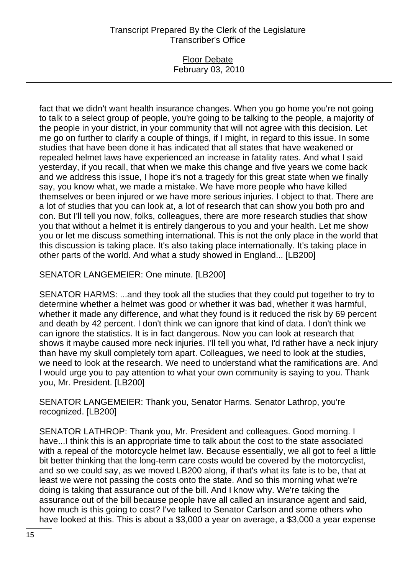### Floor Debate February 03, 2010

fact that we didn't want health insurance changes. When you go home you're not going to talk to a select group of people, you're going to be talking to the people, a majority of the people in your district, in your community that will not agree with this decision. Let me go on further to clarify a couple of things, if I might, in regard to this issue. In some studies that have been done it has indicated that all states that have weakened or repealed helmet laws have experienced an increase in fatality rates. And what I said yesterday, if you recall, that when we make this change and five years we come back and we address this issue, I hope it's not a tragedy for this great state when we finally say, you know what, we made a mistake. We have more people who have killed themselves or been injured or we have more serious injuries. I object to that. There are a lot of studies that you can look at, a lot of research that can show you both pro and con. But I'll tell you now, folks, colleagues, there are more research studies that show you that without a helmet it is entirely dangerous to you and your health. Let me show you or let me discuss something international. This is not the only place in the world that this discussion is taking place. It's also taking place internationally. It's taking place in other parts of the world. And what a study showed in England... [LB200]

SENATOR LANGEMEIER: One minute. [LB200]

SENATOR HARMS: ...and they took all the studies that they could put together to try to determine whether a helmet was good or whether it was bad, whether it was harmful, whether it made any difference, and what they found is it reduced the risk by 69 percent and death by 42 percent. I don't think we can ignore that kind of data. I don't think we can ignore the statistics. It is in fact dangerous. Now you can look at research that shows it maybe caused more neck injuries. I'll tell you what, I'd rather have a neck injury than have my skull completely torn apart. Colleagues, we need to look at the studies, we need to look at the research. We need to understand what the ramifications are. And I would urge you to pay attention to what your own community is saying to you. Thank you, Mr. President. [LB200]

SENATOR LANGEMEIER: Thank you, Senator Harms. Senator Lathrop, you're recognized. [LB200]

SENATOR LATHROP: Thank you, Mr. President and colleagues. Good morning. I have...I think this is an appropriate time to talk about the cost to the state associated with a repeal of the motorcycle helmet law. Because essentially, we all got to feel a little bit better thinking that the long-term care costs would be covered by the motorcyclist, and so we could say, as we moved LB200 along, if that's what its fate is to be, that at least we were not passing the costs onto the state. And so this morning what we're doing is taking that assurance out of the bill. And I know why. We're taking the assurance out of the bill because people have all called an insurance agent and said, how much is this going to cost? I've talked to Senator Carlson and some others who have looked at this. This is about a \$3,000 a year on average, a \$3,000 a year expense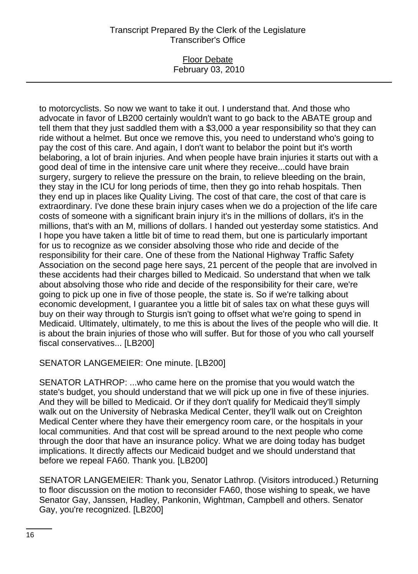#### Floor Debate February 03, 2010

to motorcyclists. So now we want to take it out. I understand that. And those who advocate in favor of LB200 certainly wouldn't want to go back to the ABATE group and tell them that they just saddled them with a \$3,000 a year responsibility so that they can ride without a helmet. But once we remove this, you need to understand who's going to pay the cost of this care. And again, I don't want to belabor the point but it's worth belaboring, a lot of brain injuries. And when people have brain injuries it starts out with a good deal of time in the intensive care unit where they receive...could have brain surgery, surgery to relieve the pressure on the brain, to relieve bleeding on the brain, they stay in the ICU for long periods of time, then they go into rehab hospitals. Then they end up in places like Quality Living. The cost of that care, the cost of that care is extraordinary. I've done these brain injury cases when we do a projection of the life care costs of someone with a significant brain injury it's in the millions of dollars, it's in the millions, that's with an M, millions of dollars. I handed out yesterday some statistics. And I hope you have taken a little bit of time to read them, but one is particularly important for us to recognize as we consider absolving those who ride and decide of the responsibility for their care. One of these from the National Highway Traffic Safety Association on the second page here says, 21 percent of the people that are involved in these accidents had their charges billed to Medicaid. So understand that when we talk about absolving those who ride and decide of the responsibility for their care, we're going to pick up one in five of those people, the state is. So if we're talking about economic development, I guarantee you a little bit of sales tax on what these guys will buy on their way through to Sturgis isn't going to offset what we're going to spend in Medicaid. Ultimately, ultimately, to me this is about the lives of the people who will die. It is about the brain injuries of those who will suffer. But for those of you who call yourself fiscal conservatives... [LB200]

SENATOR LANGEMEIER: One minute. [LB200]

SENATOR LATHROP: ...who came here on the promise that you would watch the state's budget, you should understand that we will pick up one in five of these injuries. And they will be billed to Medicaid. Or if they don't qualify for Medicaid they'll simply walk out on the University of Nebraska Medical Center, they'll walk out on Creighton Medical Center where they have their emergency room care, or the hospitals in your local communities. And that cost will be spread around to the next people who come through the door that have an insurance policy. What we are doing today has budget implications. It directly affects our Medicaid budget and we should understand that before we repeal FA60. Thank you. [LB200]

SENATOR LANGEMEIER: Thank you, Senator Lathrop. (Visitors introduced.) Returning to floor discussion on the motion to reconsider FA60, those wishing to speak, we have Senator Gay, Janssen, Hadley, Pankonin, Wightman, Campbell and others. Senator Gay, you're recognized. [LB200]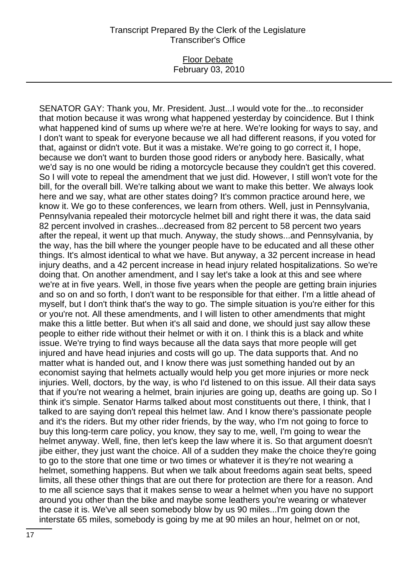### Floor Debate February 03, 2010

SENATOR GAY: Thank you, Mr. President. Just...I would vote for the...to reconsider that motion because it was wrong what happened yesterday by coincidence. But I think what happened kind of sums up where we're at here. We're looking for ways to say, and I don't want to speak for everyone because we all had different reasons, if you voted for that, against or didn't vote. But it was a mistake. We're going to go correct it, I hope, because we don't want to burden those good riders or anybody here. Basically, what we'd say is no one would be riding a motorcycle because they couldn't get this covered. So I will vote to repeal the amendment that we just did. However, I still won't vote for the bill, for the overall bill. We're talking about we want to make this better. We always look here and we say, what are other states doing? It's common practice around here, we know it. We go to these conferences, we learn from others. Well, just in Pennsylvania, Pennsylvania repealed their motorcycle helmet bill and right there it was, the data said 82 percent involved in crashes...decreased from 82 percent to 58 percent two years after the repeal, it went up that much. Anyway, the study shows...and Pennsylvania, by the way, has the bill where the younger people have to be educated and all these other things. It's almost identical to what we have. But anyway, a 32 percent increase in head injury deaths, and a 42 percent increase in head injury related hospitalizations. So we're doing that. On another amendment, and I say let's take a look at this and see where we're at in five years. Well, in those five years when the people are getting brain injuries and so on and so forth, I don't want to be responsible for that either. I'm a little ahead of myself, but I don't think that's the way to go. The simple situation is you're either for this or you're not. All these amendments, and I will listen to other amendments that might make this a little better. But when it's all said and done, we should just say allow these people to either ride without their helmet or with it on. I think this is a black and white issue. We're trying to find ways because all the data says that more people will get injured and have head injuries and costs will go up. The data supports that. And no matter what is handed out, and I know there was just something handed out by an economist saying that helmets actually would help you get more injuries or more neck injuries. Well, doctors, by the way, is who I'd listened to on this issue. All their data says that if you're not wearing a helmet, brain injuries are going up, deaths are going up. So I think it's simple. Senator Harms talked about most constituents out there, I think, that I talked to are saying don't repeal this helmet law. And I know there's passionate people and it's the riders. But my other rider friends, by the way, who I'm not going to force to buy this long-term care policy, you know, they say to me, well, I'm going to wear the helmet anyway. Well, fine, then let's keep the law where it is. So that argument doesn't jibe either, they just want the choice. All of a sudden they make the choice they're going to go to the store that one time or two times or whatever it is they're not wearing a helmet, something happens. But when we talk about freedoms again seat belts, speed limits, all these other things that are out there for protection are there for a reason. And to me all science says that it makes sense to wear a helmet when you have no support around you other than the bike and maybe some leathers you're wearing or whatever the case it is. We've all seen somebody blow by us 90 miles...I'm going down the interstate 65 miles, somebody is going by me at 90 miles an hour, helmet on or not,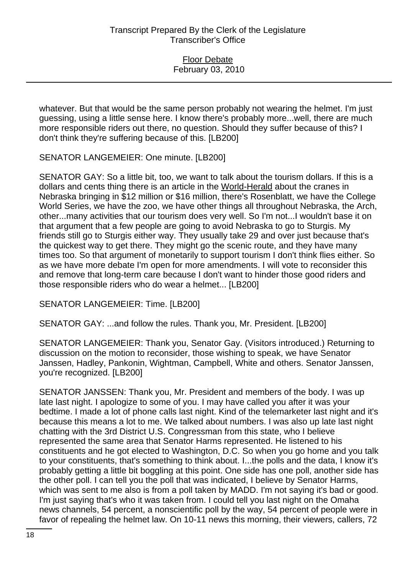whatever. But that would be the same person probably not wearing the helmet. I'm just guessing, using a little sense here. I know there's probably more...well, there are much more responsible riders out there, no question. Should they suffer because of this? I don't think they're suffering because of this. [LB200]

SENATOR LANGEMEIER: One minute. [LB200]

SENATOR GAY: So a little bit, too, we want to talk about the tourism dollars. If this is a dollars and cents thing there is an article in the World-Herald about the cranes in Nebraska bringing in \$12 million or \$16 million, there's Rosenblatt, we have the College World Series, we have the zoo, we have other things all throughout Nebraska, the Arch, other...many activities that our tourism does very well. So I'm not...I wouldn't base it on that argument that a few people are going to avoid Nebraska to go to Sturgis. My friends still go to Sturgis either way. They usually take 29 and over just because that's the quickest way to get there. They might go the scenic route, and they have many times too. So that argument of monetarily to support tourism I don't think flies either. So as we have more debate I'm open for more amendments. I will vote to reconsider this and remove that long-term care because I don't want to hinder those good riders and those responsible riders who do wear a helmet... [LB200]

SENATOR LANGEMEIER: Time. [LB200]

SENATOR GAY: ...and follow the rules. Thank you, Mr. President. [LB200]

SENATOR LANGEMEIER: Thank you, Senator Gay. (Visitors introduced.) Returning to discussion on the motion to reconsider, those wishing to speak, we have Senator Janssen, Hadley, Pankonin, Wightman, Campbell, White and others. Senator Janssen, you're recognized. [LB200]

SENATOR JANSSEN: Thank you, Mr. President and members of the body. I was up late last night. I apologize to some of you. I may have called you after it was your bedtime. I made a lot of phone calls last night. Kind of the telemarketer last night and it's because this means a lot to me. We talked about numbers. I was also up late last night chatting with the 3rd District U.S. Congressman from this state, who I believe represented the same area that Senator Harms represented. He listened to his constituents and he got elected to Washington, D.C. So when you go home and you talk to your constituents, that's something to think about. I...the polls and the data, I know it's probably getting a little bit boggling at this point. One side has one poll, another side has the other poll. I can tell you the poll that was indicated, I believe by Senator Harms, which was sent to me also is from a poll taken by MADD. I'm not saying it's bad or good. I'm just saying that's who it was taken from. I could tell you last night on the Omaha news channels, 54 percent, a nonscientific poll by the way, 54 percent of people were in favor of repealing the helmet law. On 10-11 news this morning, their viewers, callers, 72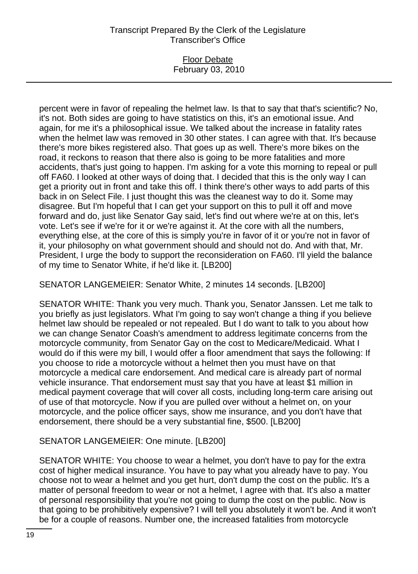## Floor Debate February 03, 2010

percent were in favor of repealing the helmet law. Is that to say that that's scientific? No, it's not. Both sides are going to have statistics on this, it's an emotional issue. And again, for me it's a philosophical issue. We talked about the increase in fatality rates when the helmet law was removed in 30 other states. I can agree with that. It's because there's more bikes registered also. That goes up as well. There's more bikes on the road, it reckons to reason that there also is going to be more fatalities and more accidents, that's just going to happen. I'm asking for a vote this morning to repeal or pull off FA60. I looked at other ways of doing that. I decided that this is the only way I can get a priority out in front and take this off. I think there's other ways to add parts of this back in on Select File. I just thought this was the cleanest way to do it. Some may disagree. But I'm hopeful that I can get your support on this to pull it off and move forward and do, just like Senator Gay said, let's find out where we're at on this, let's vote. Let's see if we're for it or we're against it. At the core with all the numbers, everything else, at the core of this is simply you're in favor of it or you're not in favor of it, your philosophy on what government should and should not do. And with that, Mr. President, I urge the body to support the reconsideration on FA60. I'll yield the balance of my time to Senator White, if he'd like it. [LB200]

SENATOR LANGEMEIER: Senator White, 2 minutes 14 seconds. [LB200]

SENATOR WHITE: Thank you very much. Thank you, Senator Janssen. Let me talk to you briefly as just legislators. What I'm going to say won't change a thing if you believe helmet law should be repealed or not repealed. But I do want to talk to you about how we can change Senator Coash's amendment to address legitimate concerns from the motorcycle community, from Senator Gay on the cost to Medicare/Medicaid. What I would do if this were my bill, I would offer a floor amendment that says the following: If you choose to ride a motorcycle without a helmet then you must have on that motorcycle a medical care endorsement. And medical care is already part of normal vehicle insurance. That endorsement must say that you have at least \$1 million in medical payment coverage that will cover all costs, including long-term care arising out of use of that motorcycle. Now if you are pulled over without a helmet on, on your motorcycle, and the police officer says, show me insurance, and you don't have that endorsement, there should be a very substantial fine, \$500. [LB200]

# SENATOR LANGEMEIER: One minute. [LB200]

SENATOR WHITE: You choose to wear a helmet, you don't have to pay for the extra cost of higher medical insurance. You have to pay what you already have to pay. You choose not to wear a helmet and you get hurt, don't dump the cost on the public. It's a matter of personal freedom to wear or not a helmet, I agree with that. It's also a matter of personal responsibility that you're not going to dump the cost on the public. Now is that going to be prohibitively expensive? I will tell you absolutely it won't be. And it won't be for a couple of reasons. Number one, the increased fatalities from motorcycle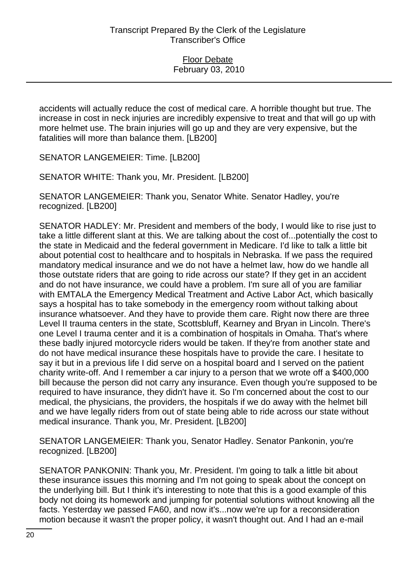accidents will actually reduce the cost of medical care. A horrible thought but true. The increase in cost in neck injuries are incredibly expensive to treat and that will go up with more helmet use. The brain injuries will go up and they are very expensive, but the fatalities will more than balance them. [LB200]

SENATOR LANGEMEIER: Time. [LB200]

SENATOR WHITE: Thank you, Mr. President. [LB200]

SENATOR LANGEMEIER: Thank you, Senator White. Senator Hadley, you're recognized. [LB200]

SENATOR HADLEY: Mr. President and members of the body, I would like to rise just to take a little different slant at this. We are talking about the cost of...potentially the cost to the state in Medicaid and the federal government in Medicare. I'd like to talk a little bit about potential cost to healthcare and to hospitals in Nebraska. If we pass the required mandatory medical insurance and we do not have a helmet law, how do we handle all those outstate riders that are going to ride across our state? If they get in an accident and do not have insurance, we could have a problem. I'm sure all of you are familiar with EMTALA the Emergency Medical Treatment and Active Labor Act, which basically says a hospital has to take somebody in the emergency room without talking about insurance whatsoever. And they have to provide them care. Right now there are three Level II trauma centers in the state, Scottsbluff, Kearney and Bryan in Lincoln. There's one Level I trauma center and it is a combination of hospitals in Omaha. That's where these badly injured motorcycle riders would be taken. If they're from another state and do not have medical insurance these hospitals have to provide the care. I hesitate to say it but in a previous life I did serve on a hospital board and I served on the patient charity write-off. And I remember a car injury to a person that we wrote off a \$400,000 bill because the person did not carry any insurance. Even though you're supposed to be required to have insurance, they didn't have it. So I'm concerned about the cost to our medical, the physicians, the providers, the hospitals if we do away with the helmet bill and we have legally riders from out of state being able to ride across our state without medical insurance. Thank you, Mr. President. [LB200]

SENATOR LANGEMEIER: Thank you, Senator Hadley. Senator Pankonin, you're recognized. [LB200]

SENATOR PANKONIN: Thank you, Mr. President. I'm going to talk a little bit about these insurance issues this morning and I'm not going to speak about the concept on the underlying bill. But I think it's interesting to note that this is a good example of this body not doing its homework and jumping for potential solutions without knowing all the facts. Yesterday we passed FA60, and now it's...now we're up for a reconsideration motion because it wasn't the proper policy, it wasn't thought out. And I had an e-mail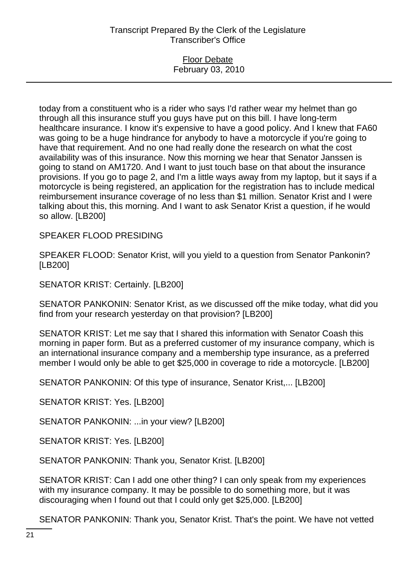#### Floor Debate February 03, 2010

today from a constituent who is a rider who says I'd rather wear my helmet than go through all this insurance stuff you guys have put on this bill. I have long-term healthcare insurance. I know it's expensive to have a good policy. And I knew that FA60 was going to be a huge hindrance for anybody to have a motorcycle if you're going to have that requirement. And no one had really done the research on what the cost availability was of this insurance. Now this morning we hear that Senator Janssen is going to stand on AM1720. And I want to just touch base on that about the insurance provisions. If you go to page 2, and I'm a little ways away from my laptop, but it says if a motorcycle is being registered, an application for the registration has to include medical reimbursement insurance coverage of no less than \$1 million. Senator Krist and I were talking about this, this morning. And I want to ask Senator Krist a question, if he would so allow. [LB200]

SPEAKER FLOOD PRESIDING

SPEAKER FLOOD: Senator Krist, will you yield to a question from Senator Pankonin? [LB200]

SENATOR KRIST: Certainly. [LB200]

SENATOR PANKONIN: Senator Krist, as we discussed off the mike today, what did you find from your research yesterday on that provision? [LB200]

SENATOR KRIST: Let me say that I shared this information with Senator Coash this morning in paper form. But as a preferred customer of my insurance company, which is an international insurance company and a membership type insurance, as a preferred member I would only be able to get \$25,000 in coverage to ride a motorcycle. [LB200]

SENATOR PANKONIN: Of this type of insurance, Senator Krist,... [LB200]

SENATOR KRIST: Yes. [LB200]

SENATOR PANKONIN: ...in your view? [LB200]

SENATOR KRIST: Yes. [LB200]

SENATOR PANKONIN: Thank you, Senator Krist. [LB200]

SENATOR KRIST: Can I add one other thing? I can only speak from my experiences with my insurance company. It may be possible to do something more, but it was discouraging when I found out that I could only get \$25,000. [LB200]

SENATOR PANKONIN: Thank you, Senator Krist. That's the point. We have not vetted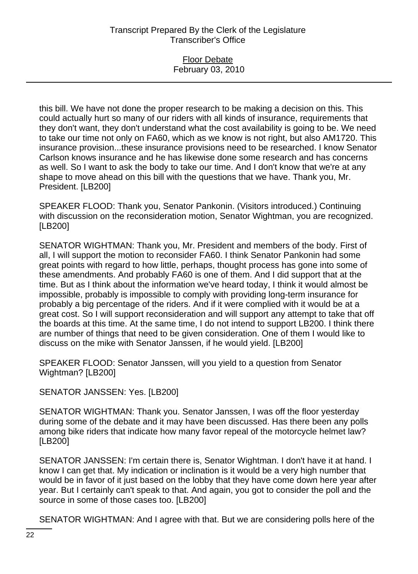### Floor Debate February 03, 2010

this bill. We have not done the proper research to be making a decision on this. This could actually hurt so many of our riders with all kinds of insurance, requirements that they don't want, they don't understand what the cost availability is going to be. We need to take our time not only on FA60, which as we know is not right, but also AM1720. This insurance provision...these insurance provisions need to be researched. I know Senator Carlson knows insurance and he has likewise done some research and has concerns as well. So I want to ask the body to take our time. And I don't know that we're at any shape to move ahead on this bill with the questions that we have. Thank you, Mr. President. [LB200]

SPEAKER FLOOD: Thank you, Senator Pankonin. (Visitors introduced.) Continuing with discussion on the reconsideration motion, Senator Wightman, you are recognized. [LB200]

SENATOR WIGHTMAN: Thank you, Mr. President and members of the body. First of all, I will support the motion to reconsider FA60. I think Senator Pankonin had some great points with regard to how little, perhaps, thought process has gone into some of these amendments. And probably FA60 is one of them. And I did support that at the time. But as I think about the information we've heard today, I think it would almost be impossible, probably is impossible to comply with providing long-term insurance for probably a big percentage of the riders. And if it were complied with it would be at a great cost. So I will support reconsideration and will support any attempt to take that off the boards at this time. At the same time, I do not intend to support LB200. I think there are number of things that need to be given consideration. One of them I would like to discuss on the mike with Senator Janssen, if he would yield. [LB200]

SPEAKER FLOOD: Senator Janssen, will you yield to a question from Senator Wightman? [LB200]

SENATOR JANSSEN: Yes. [LB200]

SENATOR WIGHTMAN: Thank you. Senator Janssen, I was off the floor yesterday during some of the debate and it may have been discussed. Has there been any polls among bike riders that indicate how many favor repeal of the motorcycle helmet law? [LB200]

SENATOR JANSSEN: I'm certain there is, Senator Wightman. I don't have it at hand. I know I can get that. My indication or inclination is it would be a very high number that would be in favor of it just based on the lobby that they have come down here year after year. But I certainly can't speak to that. And again, you got to consider the poll and the source in some of those cases too. [LB200]

SENATOR WIGHTMAN: And I agree with that. But we are considering polls here of the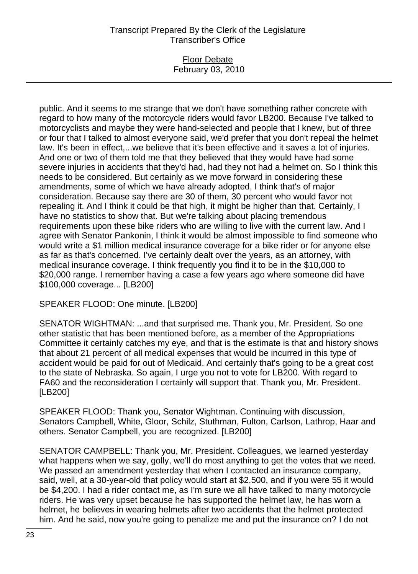#### Floor Debate February 03, 2010

public. And it seems to me strange that we don't have something rather concrete with regard to how many of the motorcycle riders would favor LB200. Because I've talked to motorcyclists and maybe they were hand-selected and people that I knew, but of three or four that I talked to almost everyone said, we'd prefer that you don't repeal the helmet law. It's been in effect,...we believe that it's been effective and it saves a lot of injuries. And one or two of them told me that they believed that they would have had some severe injuries in accidents that they'd had, had they not had a helmet on. So I think this needs to be considered. But certainly as we move forward in considering these amendments, some of which we have already adopted, I think that's of major consideration. Because say there are 30 of them, 30 percent who would favor not repealing it. And I think it could be that high, it might be higher than that. Certainly, I have no statistics to show that. But we're talking about placing tremendous requirements upon these bike riders who are willing to live with the current law. And I agree with Senator Pankonin, I think it would be almost impossible to find someone who would write a \$1 million medical insurance coverage for a bike rider or for anyone else as far as that's concerned. I've certainly dealt over the years, as an attorney, with medical insurance coverage. I think frequently you find it to be in the \$10,000 to \$20,000 range. I remember having a case a few years ago where someone did have \$100,000 coverage... [LB200]

SPEAKER FLOOD: One minute. [LB200]

SENATOR WIGHTMAN: ...and that surprised me. Thank you, Mr. President. So one other statistic that has been mentioned before, as a member of the Appropriations Committee it certainly catches my eye, and that is the estimate is that and history shows that about 21 percent of all medical expenses that would be incurred in this type of accident would be paid for out of Medicaid. And certainly that's going to be a great cost to the state of Nebraska. So again, I urge you not to vote for LB200. With regard to FA60 and the reconsideration I certainly will support that. Thank you, Mr. President. [LB200]

SPEAKER FLOOD: Thank you, Senator Wightman. Continuing with discussion, Senators Campbell, White, Gloor, Schilz, Stuthman, Fulton, Carlson, Lathrop, Haar and others. Senator Campbell, you are recognized. [LB200]

SENATOR CAMPBELL: Thank you, Mr. President. Colleagues, we learned yesterday what happens when we say, golly, we'll do most anything to get the votes that we need. We passed an amendment yesterday that when I contacted an insurance company, said, well, at a 30-year-old that policy would start at \$2,500, and if you were 55 it would be \$4,200. I had a rider contact me, as I'm sure we all have talked to many motorcycle riders. He was very upset because he has supported the helmet law, he has worn a helmet, he believes in wearing helmets after two accidents that the helmet protected him. And he said, now you're going to penalize me and put the insurance on? I do not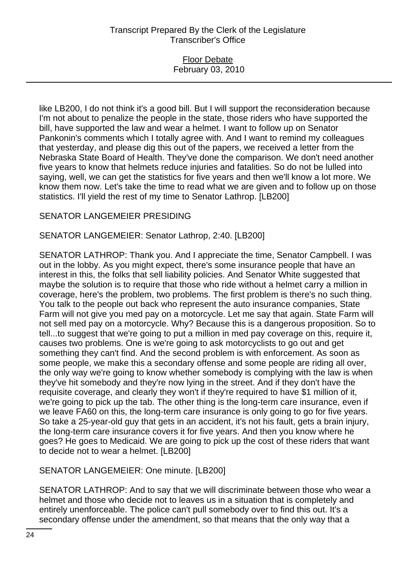### Floor Debate February 03, 2010

like LB200, I do not think it's a good bill. But I will support the reconsideration because I'm not about to penalize the people in the state, those riders who have supported the bill, have supported the law and wear a helmet. I want to follow up on Senator Pankonin's comments which I totally agree with. And I want to remind my colleagues that yesterday, and please dig this out of the papers, we received a letter from the Nebraska State Board of Health. They've done the comparison. We don't need another five years to know that helmets reduce injuries and fatalities. So do not be lulled into saying, well, we can get the statistics for five years and then we'll know a lot more. We know them now. Let's take the time to read what we are given and to follow up on those statistics. I'll yield the rest of my time to Senator Lathrop. [LB200]

## SENATOR LANGEMEIER PRESIDING

## SENATOR LANGEMEIER: Senator Lathrop, 2:40. [LB200]

SENATOR LATHROP: Thank you. And I appreciate the time, Senator Campbell. I was out in the lobby. As you might expect, there's some insurance people that have an interest in this, the folks that sell liability policies. And Senator White suggested that maybe the solution is to require that those who ride without a helmet carry a million in coverage, here's the problem, two problems. The first problem is there's no such thing. You talk to the people out back who represent the auto insurance companies, State Farm will not give you med pay on a motorcycle. Let me say that again. State Farm will not sell med pay on a motorcycle. Why? Because this is a dangerous proposition. So to tell...to suggest that we're going to put a million in med pay coverage on this, require it, causes two problems. One is we're going to ask motorcyclists to go out and get something they can't find. And the second problem is with enforcement. As soon as some people, we make this a secondary offense and some people are riding all over, the only way we're going to know whether somebody is complying with the law is when they've hit somebody and they're now lying in the street. And if they don't have the requisite coverage, and clearly they won't if they're required to have \$1 million of it, we're going to pick up the tab. The other thing is the long-term care insurance, even if we leave FA60 on this, the long-term care insurance is only going to go for five years. So take a 25-year-old guy that gets in an accident, it's not his fault, gets a brain injury, the long-term care insurance covers it for five years. And then you know where he goes? He goes to Medicaid. We are going to pick up the cost of these riders that want to decide not to wear a helmet. [LB200]

### SENATOR LANGEMEIER: One minute. [LB200]

SENATOR LATHROP: And to say that we will discriminate between those who wear a helmet and those who decide not to leaves us in a situation that is completely and entirely unenforceable. The police can't pull somebody over to find this out. It's a secondary offense under the amendment, so that means that the only way that a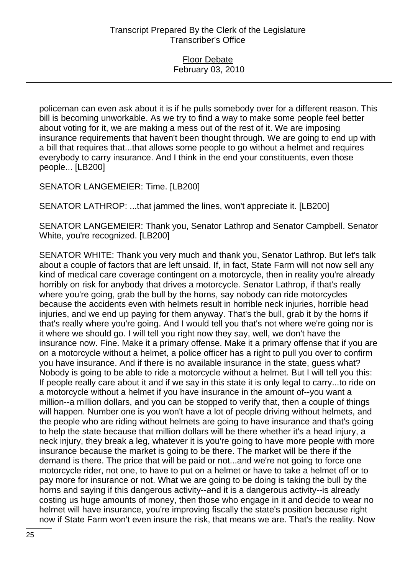policeman can even ask about it is if he pulls somebody over for a different reason. This bill is becoming unworkable. As we try to find a way to make some people feel better about voting for it, we are making a mess out of the rest of it. We are imposing insurance requirements that haven't been thought through. We are going to end up with a bill that requires that...that allows some people to go without a helmet and requires everybody to carry insurance. And I think in the end your constituents, even those people... [LB200]

SENATOR LANGEMEIER: Time. [LB200]

SENATOR LATHROP: ...that jammed the lines, won't appreciate it. [LB200]

SENATOR LANGEMEIER: Thank you, Senator Lathrop and Senator Campbell. Senator White, you're recognized. [LB200]

SENATOR WHITE: Thank you very much and thank you, Senator Lathrop. But let's talk about a couple of factors that are left unsaid. If, in fact, State Farm will not now sell any kind of medical care coverage contingent on a motorcycle, then in reality you're already horribly on risk for anybody that drives a motorcycle. Senator Lathrop, if that's really where you're going, grab the bull by the horns, say nobody can ride motorcycles because the accidents even with helmets result in horrible neck injuries, horrible head injuries, and we end up paying for them anyway. That's the bull, grab it by the horns if that's really where you're going. And I would tell you that's not where we're going nor is it where we should go. I will tell you right now they say, well, we don't have the insurance now. Fine. Make it a primary offense. Make it a primary offense that if you are on a motorcycle without a helmet, a police officer has a right to pull you over to confirm you have insurance. And if there is no available insurance in the state, guess what? Nobody is going to be able to ride a motorcycle without a helmet. But I will tell you this: If people really care about it and if we say in this state it is only legal to carry...to ride on a motorcycle without a helmet if you have insurance in the amount of--you want a million--a million dollars, and you can be stopped to verify that, then a couple of things will happen. Number one is you won't have a lot of people driving without helmets, and the people who are riding without helmets are going to have insurance and that's going to help the state because that million dollars will be there whether it's a head injury, a neck injury, they break a leg, whatever it is you're going to have more people with more insurance because the market is going to be there. The market will be there if the demand is there. The price that will be paid or not...and we're not going to force one motorcycle rider, not one, to have to put on a helmet or have to take a helmet off or to pay more for insurance or not. What we are going to be doing is taking the bull by the horns and saying if this dangerous activity--and it is a dangerous activity--is already costing us huge amounts of money, then those who engage in it and decide to wear no helmet will have insurance, you're improving fiscally the state's position because right now if State Farm won't even insure the risk, that means we are. That's the reality. Now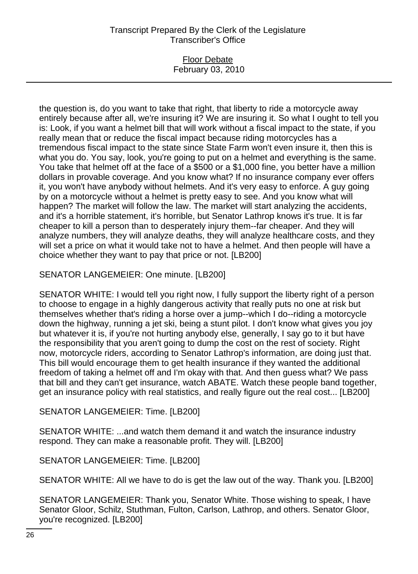### Floor Debate February 03, 2010

the question is, do you want to take that right, that liberty to ride a motorcycle away entirely because after all, we're insuring it? We are insuring it. So what I ought to tell you is: Look, if you want a helmet bill that will work without a fiscal impact to the state, if you really mean that or reduce the fiscal impact because riding motorcycles has a tremendous fiscal impact to the state since State Farm won't even insure it, then this is what you do. You say, look, you're going to put on a helmet and everything is the same. You take that helmet off at the face of a \$500 or a \$1,000 fine, you better have a million dollars in provable coverage. And you know what? If no insurance company ever offers it, you won't have anybody without helmets. And it's very easy to enforce. A guy going by on a motorcycle without a helmet is pretty easy to see. And you know what will happen? The market will follow the law. The market will start analyzing the accidents, and it's a horrible statement, it's horrible, but Senator Lathrop knows it's true. It is far cheaper to kill a person than to desperately injury them--far cheaper. And they will analyze numbers, they will analyze deaths, they will analyze healthcare costs, and they will set a price on what it would take not to have a helmet. And then people will have a choice whether they want to pay that price or not. [LB200]

SENATOR LANGEMEIER: One minute. [LB200]

SENATOR WHITE: I would tell you right now, I fully support the liberty right of a person to choose to engage in a highly dangerous activity that really puts no one at risk but themselves whether that's riding a horse over a jump--which I do--riding a motorcycle down the highway, running a jet ski, being a stunt pilot. I don't know what gives you joy but whatever it is, if you're not hurting anybody else, generally, I say go to it but have the responsibility that you aren't going to dump the cost on the rest of society. Right now, motorcycle riders, according to Senator Lathrop's information, are doing just that. This bill would encourage them to get health insurance if they wanted the additional freedom of taking a helmet off and I'm okay with that. And then guess what? We pass that bill and they can't get insurance, watch ABATE. Watch these people band together, get an insurance policy with real statistics, and really figure out the real cost... [LB200]

SENATOR LANGEMEIER: Time. [LB200]

SENATOR WHITE: ...and watch them demand it and watch the insurance industry respond. They can make a reasonable profit. They will. [LB200]

SENATOR LANGEMEIER: Time. [LB200]

SENATOR WHITE: All we have to do is get the law out of the way. Thank you. [LB200]

SENATOR LANGEMEIER: Thank you, Senator White. Those wishing to speak, I have Senator Gloor, Schilz, Stuthman, Fulton, Carlson, Lathrop, and others. Senator Gloor, you're recognized. [LB200]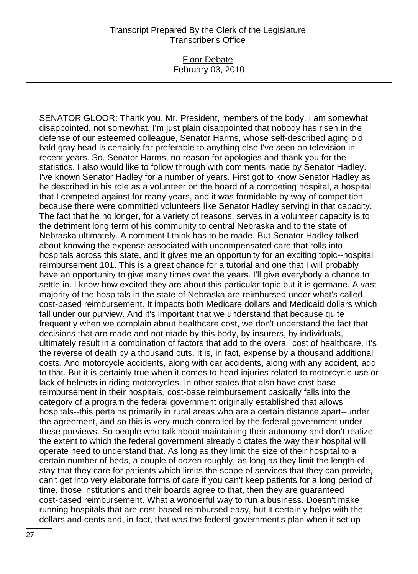### Floor Debate February 03, 2010

SENATOR GLOOR: Thank you, Mr. President, members of the body. I am somewhat disappointed, not somewhat, I'm just plain disappointed that nobody has risen in the defense of our esteemed colleague, Senator Harms, whose self-described aging old bald gray head is certainly far preferable to anything else I've seen on television in recent years. So, Senator Harms, no reason for apologies and thank you for the statistics. I also would like to follow through with comments made by Senator Hadley. I've known Senator Hadley for a number of years. First got to know Senator Hadley as he described in his role as a volunteer on the board of a competing hospital, a hospital that I competed against for many years, and it was formidable by way of competition because there were committed volunteers like Senator Hadley serving in that capacity. The fact that he no longer, for a variety of reasons, serves in a volunteer capacity is to the detriment long term of his community to central Nebraska and to the state of Nebraska ultimately. A comment I think has to be made. But Senator Hadley talked about knowing the expense associated with uncompensated care that rolls into hospitals across this state, and it gives me an opportunity for an exciting topic--hospital reimbursement 101. This is a great chance for a tutorial and one that I will probably have an opportunity to give many times over the years. I'll give everybody a chance to settle in. I know how excited they are about this particular topic but it is germane. A vast majority of the hospitals in the state of Nebraska are reimbursed under what's called cost-based reimbursement. It impacts both Medicare dollars and Medicaid dollars which fall under our purview. And it's important that we understand that because quite frequently when we complain about healthcare cost, we don't understand the fact that decisions that are made and not made by this body, by insurers, by individuals, ultimately result in a combination of factors that add to the overall cost of healthcare. It's the reverse of death by a thousand cuts. It is, in fact, expense by a thousand additional costs. And motorcycle accidents, along with car accidents, along with any accident, add to that. But it is certainly true when it comes to head injuries related to motorcycle use or lack of helmets in riding motorcycles. In other states that also have cost-base reimbursement in their hospitals, cost-base reimbursement basically falls into the category of a program the federal government originally established that allows hospitals--this pertains primarily in rural areas who are a certain distance apart--under the agreement, and so this is very much controlled by the federal government under these purviews. So people who talk about maintaining their autonomy and don't realize the extent to which the federal government already dictates the way their hospital will operate need to understand that. As long as they limit the size of their hospital to a certain number of beds, a couple of dozen roughly, as long as they limit the length of stay that they care for patients which limits the scope of services that they can provide, can't get into very elaborate forms of care if you can't keep patients for a long period of time, those institutions and their boards agree to that, then they are guaranteed cost-based reimbursement. What a wonderful way to run a business. Doesn't make running hospitals that are cost-based reimbursed easy, but it certainly helps with the dollars and cents and, in fact, that was the federal government's plan when it set up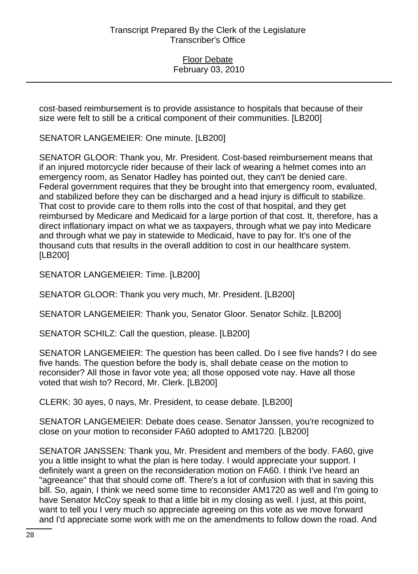cost-based reimbursement is to provide assistance to hospitals that because of their size were felt to still be a critical component of their communities. [LB200]

SENATOR LANGEMEIER: One minute. [LB200]

SENATOR GLOOR: Thank you, Mr. President. Cost-based reimbursement means that if an injured motorcycle rider because of their lack of wearing a helmet comes into an emergency room, as Senator Hadley has pointed out, they can't be denied care. Federal government requires that they be brought into that emergency room, evaluated, and stabilized before they can be discharged and a head injury is difficult to stabilize. That cost to provide care to them rolls into the cost of that hospital, and they get reimbursed by Medicare and Medicaid for a large portion of that cost. It, therefore, has a direct inflationary impact on what we as taxpayers, through what we pay into Medicare and through what we pay in statewide to Medicaid, have to pay for. It's one of the thousand cuts that results in the overall addition to cost in our healthcare system. [LB200]

SENATOR LANGEMEIER: Time. [LB200]

SENATOR GLOOR: Thank you very much, Mr. President. [LB200]

SENATOR LANGEMEIER: Thank you, Senator Gloor. Senator Schilz. [LB200]

SENATOR SCHILZ: Call the question, please. [LB200]

SENATOR LANGEMEIER: The question has been called. Do I see five hands? I do see five hands. The question before the body is, shall debate cease on the motion to reconsider? All those in favor vote yea; all those opposed vote nay. Have all those voted that wish to? Record, Mr. Clerk. [LB200]

CLERK: 30 ayes, 0 nays, Mr. President, to cease debate. [LB200]

SENATOR LANGEMEIER: Debate does cease. Senator Janssen, you're recognized to close on your motion to reconsider FA60 adopted to AM1720. [LB200]

SENATOR JANSSEN: Thank you, Mr. President and members of the body. FA60, give you a little insight to what the plan is here today. I would appreciate your support. I definitely want a green on the reconsideration motion on FA60. I think I've heard an "agreeance" that that should come off. There's a lot of confusion with that in saving this bill. So, again, I think we need some time to reconsider AM1720 as well and I'm going to have Senator McCoy speak to that a little bit in my closing as well. I just, at this point, want to tell you I very much so appreciate agreeing on this vote as we move forward and I'd appreciate some work with me on the amendments to follow down the road. And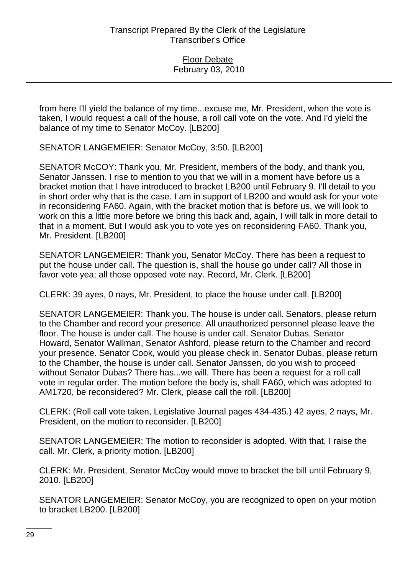from here I'll yield the balance of my time...excuse me, Mr. President, when the vote is taken, I would request a call of the house, a roll call vote on the vote. And I'd yield the balance of my time to Senator McCoy. [LB200]

SENATOR LANGEMEIER: Senator McCoy, 3:50. [LB200]

SENATOR McCOY: Thank you, Mr. President, members of the body, and thank you, Senator Janssen. I rise to mention to you that we will in a moment have before us a bracket motion that I have introduced to bracket LB200 until February 9. I'll detail to you in short order why that is the case. I am in support of LB200 and would ask for your vote in reconsidering FA60. Again, with the bracket motion that is before us, we will look to work on this a little more before we bring this back and, again, I will talk in more detail to that in a moment. But I would ask you to vote yes on reconsidering FA60. Thank you, Mr. President. [LB200]

SENATOR LANGEMEIER: Thank you, Senator McCoy. There has been a request to put the house under call. The question is, shall the house go under call? All those in favor vote yea; all those opposed vote nay. Record, Mr. Clerk. [LB200]

CLERK: 39 ayes, 0 nays, Mr. President, to place the house under call. [LB200]

SENATOR LANGEMEIER: Thank you. The house is under call. Senators, please return to the Chamber and record your presence. All unauthorized personnel please leave the floor. The house is under call. The house is under call. Senator Dubas, Senator Howard, Senator Wallman, Senator Ashford, please return to the Chamber and record your presence. Senator Cook, would you please check in. Senator Dubas, please return to the Chamber, the house is under call. Senator Janssen, do you wish to proceed without Senator Dubas? There has...we will. There has been a request for a roll call vote in regular order. The motion before the body is, shall FA60, which was adopted to AM1720, be reconsidered? Mr. Clerk, please call the roll. [LB200]

CLERK: (Roll call vote taken, Legislative Journal pages 434-435.) 42 ayes, 2 nays, Mr. President, on the motion to reconsider. [LB200]

SENATOR LANGEMEIER: The motion to reconsider is adopted. With that, I raise the call. Mr. Clerk, a priority motion. [LB200]

CLERK: Mr. President, Senator McCoy would move to bracket the bill until February 9, 2010. [LB200]

SENATOR LANGEMEIER: Senator McCoy, you are recognized to open on your motion to bracket LB200. [LB200]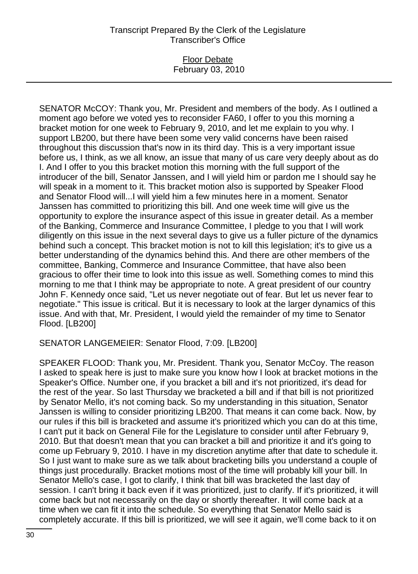#### Floor Debate February 03, 2010

SENATOR McCOY: Thank you, Mr. President and members of the body. As I outlined a moment ago before we voted yes to reconsider FA60, I offer to you this morning a bracket motion for one week to February 9, 2010, and let me explain to you why. I support LB200, but there have been some very valid concerns have been raised throughout this discussion that's now in its third day. This is a very important issue before us, I think, as we all know, an issue that many of us care very deeply about as do I. And I offer to you this bracket motion this morning with the full support of the introducer of the bill, Senator Janssen, and I will yield him or pardon me I should say he will speak in a moment to it. This bracket motion also is supported by Speaker Flood and Senator Flood will...I will yield him a few minutes here in a moment. Senator Janssen has committed to prioritizing this bill. And one week time will give us the opportunity to explore the insurance aspect of this issue in greater detail. As a member of the Banking, Commerce and Insurance Committee, I pledge to you that I will work diligently on this issue in the next several days to give us a fuller picture of the dynamics behind such a concept. This bracket motion is not to kill this legislation; it's to give us a better understanding of the dynamics behind this. And there are other members of the committee, Banking, Commerce and Insurance Committee, that have also been gracious to offer their time to look into this issue as well. Something comes to mind this morning to me that I think may be appropriate to note. A great president of our country John F. Kennedy once said, "Let us never negotiate out of fear. But let us never fear to negotiate." This issue is critical. But it is necessary to look at the larger dynamics of this issue. And with that, Mr. President, I would yield the remainder of my time to Senator Flood. [LB200]

SENATOR LANGEMEIER: Senator Flood, 7:09. [LB200]

SPEAKER FLOOD: Thank you, Mr. President. Thank you, Senator McCoy. The reason I asked to speak here is just to make sure you know how I look at bracket motions in the Speaker's Office. Number one, if you bracket a bill and it's not prioritized, it's dead for the rest of the year. So last Thursday we bracketed a bill and if that bill is not prioritized by Senator Mello, it's not coming back. So my understanding in this situation, Senator Janssen is willing to consider prioritizing LB200. That means it can come back. Now, by our rules if this bill is bracketed and assume it's prioritized which you can do at this time, I can't put it back on General File for the Legislature to consider until after February 9, 2010. But that doesn't mean that you can bracket a bill and prioritize it and it's going to come up February 9, 2010. I have in my discretion anytime after that date to schedule it. So I just want to make sure as we talk about bracketing bills you understand a couple of things just procedurally. Bracket motions most of the time will probably kill your bill. In Senator Mello's case, I got to clarify, I think that bill was bracketed the last day of session. I can't bring it back even if it was prioritized, just to clarify. If it's prioritized, it will come back but not necessarily on the day or shortly thereafter. It will come back at a time when we can fit it into the schedule. So everything that Senator Mello said is completely accurate. If this bill is prioritized, we will see it again, we'll come back to it on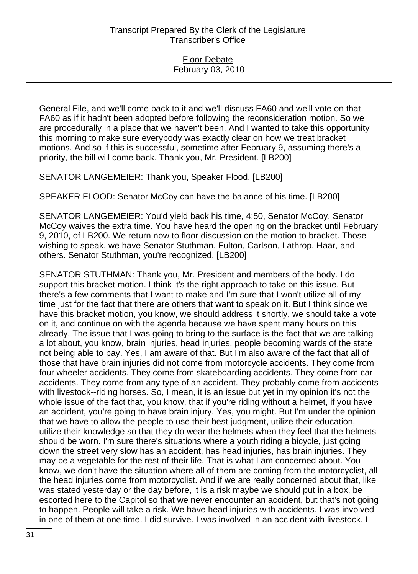General File, and we'll come back to it and we'll discuss FA60 and we'll vote on that FA60 as if it hadn't been adopted before following the reconsideration motion. So we are procedurally in a place that we haven't been. And I wanted to take this opportunity this morning to make sure everybody was exactly clear on how we treat bracket motions. And so if this is successful, sometime after February 9, assuming there's a priority, the bill will come back. Thank you, Mr. President. [LB200]

SENATOR LANGEMEIER: Thank you, Speaker Flood. [LB200]

SPEAKER FLOOD: Senator McCoy can have the balance of his time. [LB200]

SENATOR LANGEMEIER: You'd yield back his time, 4:50, Senator McCoy. Senator McCoy waives the extra time. You have heard the opening on the bracket until February 9, 2010, of LB200. We return now to floor discussion on the motion to bracket. Those wishing to speak, we have Senator Stuthman, Fulton, Carlson, Lathrop, Haar, and others. Senator Stuthman, you're recognized. [LB200]

SENATOR STUTHMAN: Thank you, Mr. President and members of the body. I do support this bracket motion. I think it's the right approach to take on this issue. But there's a few comments that I want to make and I'm sure that I won't utilize all of my time just for the fact that there are others that want to speak on it. But I think since we have this bracket motion, you know, we should address it shortly, we should take a vote on it, and continue on with the agenda because we have spent many hours on this already. The issue that I was going to bring to the surface is the fact that we are talking a lot about, you know, brain injuries, head injuries, people becoming wards of the state not being able to pay. Yes, I am aware of that. But I'm also aware of the fact that all of those that have brain injuries did not come from motorcycle accidents. They come from four wheeler accidents. They come from skateboarding accidents. They come from car accidents. They come from any type of an accident. They probably come from accidents with livestock--riding horses. So, I mean, it is an issue but yet in my opinion it's not the whole issue of the fact that, you know, that if you're riding without a helmet, if you have an accident, you're going to have brain injury. Yes, you might. But I'm under the opinion that we have to allow the people to use their best judgment, utilize their education, utilize their knowledge so that they do wear the helmets when they feel that the helmets should be worn. I'm sure there's situations where a youth riding a bicycle, just going down the street very slow has an accident, has head injuries, has brain injuries. They may be a vegetable for the rest of their life. That is what I am concerned about. You know, we don't have the situation where all of them are coming from the motorcyclist, all the head injuries come from motorcyclist. And if we are really concerned about that, like was stated yesterday or the day before, it is a risk maybe we should put in a box, be escorted here to the Capitol so that we never encounter an accident, but that's not going to happen. People will take a risk. We have head injuries with accidents. I was involved in one of them at one time. I did survive. I was involved in an accident with livestock. I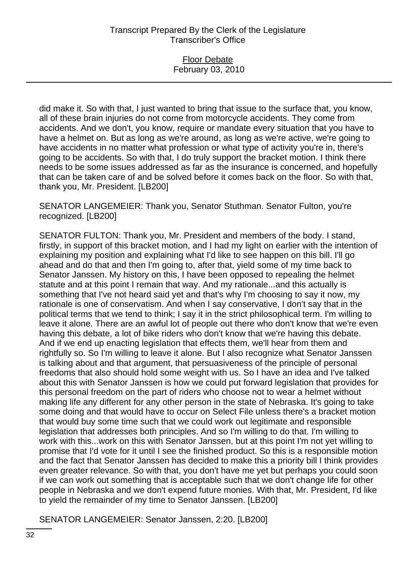### Floor Debate February 03, 2010

did make it. So with that, I just wanted to bring that issue to the surface that, you know, all of these brain injuries do not come from motorcycle accidents. They come from accidents. And we don't, you know, require or mandate every situation that you have to have a helmet on. But as long as we're around, as long as we're active, we're going to have accidents in no matter what profession or what type of activity you're in, there's going to be accidents. So with that, I do truly support the bracket motion. I think there needs to be some issues addressed as far as the insurance is concerned, and hopefully that can be taken care of and be solved before it comes back on the floor. So with that, thank you, Mr. President. [LB200]

SENATOR LANGEMEIER: Thank you, Senator Stuthman. Senator Fulton, you're recognized. [LB200]

SENATOR FULTON: Thank you, Mr. President and members of the body. I stand, firstly, in support of this bracket motion, and I had my light on earlier with the intention of explaining my position and explaining what I'd like to see happen on this bill. I'll go ahead and do that and then I'm going to, after that, yield some of my time back to Senator Janssen. My history on this, I have been opposed to repealing the helmet statute and at this point I remain that way. And my rationale...and this actually is something that I've not heard said yet and that's why I'm choosing to say it now, my rationale is one of conservatism. And when I say conservative, I don't say that in the political terms that we tend to think; I say it in the strict philosophical term. I'm willing to leave it alone. There are an awful lot of people out there who don't know that we're even having this debate, a lot of bike riders who don't know that we're having this debate. And if we end up enacting legislation that effects them, we'll hear from them and rightfully so. So I'm willing to leave it alone. But I also recognize what Senator Janssen is talking about and that argument, that persuasiveness of the principle of personal freedoms that also should hold some weight with us. So I have an idea and I've talked about this with Senator Janssen is how we could put forward legislation that provides for this personal freedom on the part of riders who choose not to wear a helmet without making life any different for any other person in the state of Nebraska. It's going to take some doing and that would have to occur on Select File unless there's a bracket motion that would buy some time such that we could work out legitimate and responsible legislation that addresses both principles. And so I'm willing to do that. I'm willing to work with this...work on this with Senator Janssen, but at this point I'm not yet willing to promise that I'd vote for it until I see the finished product. So this is a responsible motion and the fact that Senator Janssen has decided to make this a priority bill I think provides even greater relevance. So with that, you don't have me yet but perhaps you could soon if we can work out something that is acceptable such that we don't change life for other people in Nebraska and we don't expend future monies. With that, Mr. President, I'd like to yield the remainder of my time to Senator Janssen. [LB200]

SENATOR LANGEMEIER: Senator Janssen, 2:20. [LB200]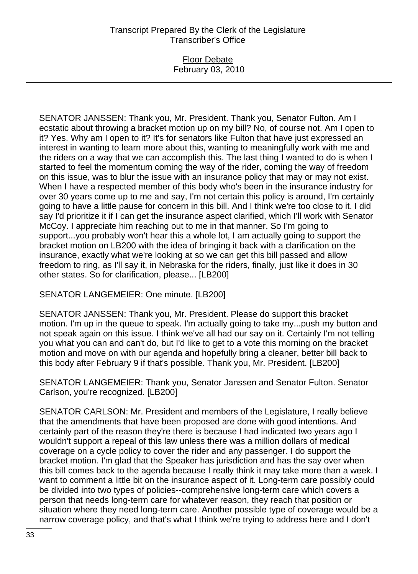### Floor Debate February 03, 2010

SENATOR JANSSEN: Thank you, Mr. President. Thank you, Senator Fulton. Am I ecstatic about throwing a bracket motion up on my bill? No, of course not. Am I open to it? Yes. Why am I open to it? It's for senators like Fulton that have just expressed an interest in wanting to learn more about this, wanting to meaningfully work with me and the riders on a way that we can accomplish this. The last thing I wanted to do is when I started to feel the momentum coming the way of the rider, coming the way of freedom on this issue, was to blur the issue with an insurance policy that may or may not exist. When I have a respected member of this body who's been in the insurance industry for over 30 years come up to me and say, I'm not certain this policy is around, I'm certainly going to have a little pause for concern in this bill. And I think we're too close to it. I did say I'd prioritize it if I can get the insurance aspect clarified, which I'll work with Senator McCoy. I appreciate him reaching out to me in that manner. So I'm going to support...you probably won't hear this a whole lot, I am actually going to support the bracket motion on LB200 with the idea of bringing it back with a clarification on the insurance, exactly what we're looking at so we can get this bill passed and allow freedom to ring, as I'll say it, in Nebraska for the riders, finally, just like it does in 30 other states. So for clarification, please... [LB200]

### SENATOR LANGEMEIER: One minute. [LB200]

SENATOR JANSSEN: Thank you, Mr. President. Please do support this bracket motion. I'm up in the queue to speak. I'm actually going to take my...push my button and not speak again on this issue. I think we've all had our say on it. Certainly I'm not telling you what you can and can't do, but I'd like to get to a vote this morning on the bracket motion and move on with our agenda and hopefully bring a cleaner, better bill back to this body after February 9 if that's possible. Thank you, Mr. President. [LB200]

SENATOR LANGEMEIER: Thank you, Senator Janssen and Senator Fulton. Senator Carlson, you're recognized. [LB200]

SENATOR CARLSON: Mr. President and members of the Legislature, I really believe that the amendments that have been proposed are done with good intentions. And certainly part of the reason they're there is because I had indicated two years ago I wouldn't support a repeal of this law unless there was a million dollars of medical coverage on a cycle policy to cover the rider and any passenger. I do support the bracket motion. I'm glad that the Speaker has jurisdiction and has the say over when this bill comes back to the agenda because I really think it may take more than a week. I want to comment a little bit on the insurance aspect of it. Long-term care possibly could be divided into two types of policies--comprehensive long-term care which covers a person that needs long-term care for whatever reason, they reach that position or situation where they need long-term care. Another possible type of coverage would be a narrow coverage policy, and that's what I think we're trying to address here and I don't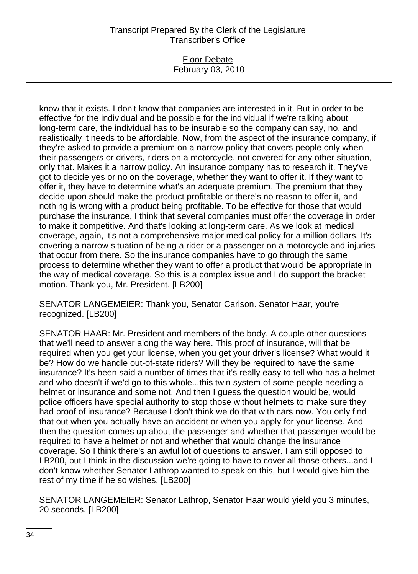### Floor Debate February 03, 2010

know that it exists. I don't know that companies are interested in it. But in order to be effective for the individual and be possible for the individual if we're talking about long-term care, the individual has to be insurable so the company can say, no, and realistically it needs to be affordable. Now, from the aspect of the insurance company, if they're asked to provide a premium on a narrow policy that covers people only when their passengers or drivers, riders on a motorcycle, not covered for any other situation, only that. Makes it a narrow policy. An insurance company has to research it. They've got to decide yes or no on the coverage, whether they want to offer it. If they want to offer it, they have to determine what's an adequate premium. The premium that they decide upon should make the product profitable or there's no reason to offer it, and nothing is wrong with a product being profitable. To be effective for those that would purchase the insurance, I think that several companies must offer the coverage in order to make it competitive. And that's looking at long-term care. As we look at medical coverage, again, it's not a comprehensive major medical policy for a million dollars. It's covering a narrow situation of being a rider or a passenger on a motorcycle and injuries that occur from there. So the insurance companies have to go through the same process to determine whether they want to offer a product that would be appropriate in the way of medical coverage. So this is a complex issue and I do support the bracket motion. Thank you, Mr. President. [LB200]

SENATOR LANGEMEIER: Thank you, Senator Carlson. Senator Haar, you're recognized. [LB200]

SENATOR HAAR: Mr. President and members of the body. A couple other questions that we'll need to answer along the way here. This proof of insurance, will that be required when you get your license, when you get your driver's license? What would it be? How do we handle out-of-state riders? Will they be required to have the same insurance? It's been said a number of times that it's really easy to tell who has a helmet and who doesn't if we'd go to this whole...this twin system of some people needing a helmet or insurance and some not. And then I guess the question would be, would police officers have special authority to stop those without helmets to make sure they had proof of insurance? Because I don't think we do that with cars now. You only find that out when you actually have an accident or when you apply for your license. And then the question comes up about the passenger and whether that passenger would be required to have a helmet or not and whether that would change the insurance coverage. So I think there's an awful lot of questions to answer. I am still opposed to LB200, but I think in the discussion we're going to have to cover all those others...and I don't know whether Senator Lathrop wanted to speak on this, but I would give him the rest of my time if he so wishes. [LB200]

SENATOR LANGEMEIER: Senator Lathrop, Senator Haar would yield you 3 minutes, 20 seconds. [LB200]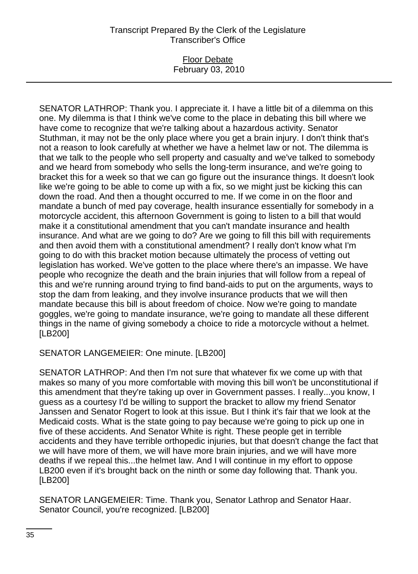## Floor Debate February 03, 2010

SENATOR LATHROP: Thank you. I appreciate it. I have a little bit of a dilemma on this one. My dilemma is that I think we've come to the place in debating this bill where we have come to recognize that we're talking about a hazardous activity. Senator Stuthman, it may not be the only place where you get a brain injury. I don't think that's not a reason to look carefully at whether we have a helmet law or not. The dilemma is that we talk to the people who sell property and casualty and we've talked to somebody and we heard from somebody who sells the long-term insurance, and we're going to bracket this for a week so that we can go figure out the insurance things. It doesn't look like we're going to be able to come up with a fix, so we might just be kicking this can down the road. And then a thought occurred to me. If we come in on the floor and mandate a bunch of med pay coverage, health insurance essentially for somebody in a motorcycle accident, this afternoon Government is going to listen to a bill that would make it a constitutional amendment that you can't mandate insurance and health insurance. And what are we going to do? Are we going to fill this bill with requirements and then avoid them with a constitutional amendment? I really don't know what I'm going to do with this bracket motion because ultimately the process of vetting out legislation has worked. We've gotten to the place where there's an impasse. We have people who recognize the death and the brain injuries that will follow from a repeal of this and we're running around trying to find band-aids to put on the arguments, ways to stop the dam from leaking, and they involve insurance products that we will then mandate because this bill is about freedom of choice. Now we're going to mandate goggles, we're going to mandate insurance, we're going to mandate all these different things in the name of giving somebody a choice to ride a motorcycle without a helmet. [LB200]

SENATOR LANGEMEIER: One minute. [LB200]

SENATOR LATHROP: And then I'm not sure that whatever fix we come up with that makes so many of you more comfortable with moving this bill won't be unconstitutional if this amendment that they're taking up over in Government passes. I really...you know, I guess as a courtesy I'd be willing to support the bracket to allow my friend Senator Janssen and Senator Rogert to look at this issue. But I think it's fair that we look at the Medicaid costs. What is the state going to pay because we're going to pick up one in five of these accidents. And Senator White is right. These people get in terrible accidents and they have terrible orthopedic injuries, but that doesn't change the fact that we will have more of them, we will have more brain injuries, and we will have more deaths if we repeal this...the helmet law. And I will continue in my effort to oppose LB200 even if it's brought back on the ninth or some day following that. Thank you. [LB200]

SENATOR LANGEMEIER: Time. Thank you, Senator Lathrop and Senator Haar. Senator Council, you're recognized. [LB200]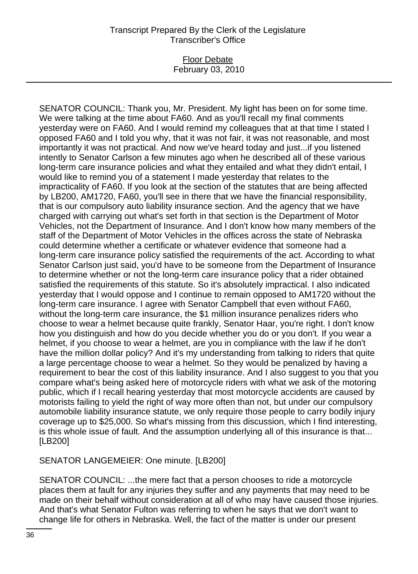### Floor Debate February 03, 2010

SENATOR COUNCIL: Thank you, Mr. President. My light has been on for some time. We were talking at the time about FA60. And as you'll recall my final comments yesterday were on FA60. And I would remind my colleagues that at that time I stated I opposed FA60 and I told you why, that it was not fair, it was not reasonable, and most importantly it was not practical. And now we've heard today and just...if you listened intently to Senator Carlson a few minutes ago when he described all of these various long-term care insurance policies and what they entailed and what they didn't entail, I would like to remind you of a statement I made yesterday that relates to the impracticality of FA60. If you look at the section of the statutes that are being affected by LB200, AM1720, FA60, you'll see in there that we have the financial responsibility, that is our compulsory auto liability insurance section. And the agency that we have charged with carrying out what's set forth in that section is the Department of Motor Vehicles, not the Department of Insurance. And I don't know how many members of the staff of the Department of Motor Vehicles in the offices across the state of Nebraska could determine whether a certificate or whatever evidence that someone had a long-term care insurance policy satisfied the requirements of the act. According to what Senator Carlson just said, you'd have to be someone from the Department of Insurance to determine whether or not the long-term care insurance policy that a rider obtained satisfied the requirements of this statute. So it's absolutely impractical. I also indicated yesterday that I would oppose and I continue to remain opposed to AM1720 without the long-term care insurance. I agree with Senator Campbell that even without FA60, without the long-term care insurance, the \$1 million insurance penalizes riders who choose to wear a helmet because quite frankly, Senator Haar, you're right. I don't know how you distinguish and how do you decide whether you do or you don't. If you wear a helmet, if you choose to wear a helmet, are you in compliance with the law if he don't have the million dollar policy? And it's my understanding from talking to riders that quite a large percentage choose to wear a helmet. So they would be penalized by having a requirement to bear the cost of this liability insurance. And I also suggest to you that you compare what's being asked here of motorcycle riders with what we ask of the motoring public, which if I recall hearing yesterday that most motorcycle accidents are caused by motorists failing to yield the right of way more often than not, but under our compulsory automobile liability insurance statute, we only require those people to carry bodily injury coverage up to \$25,000. So what's missing from this discussion, which I find interesting, is this whole issue of fault. And the assumption underlying all of this insurance is that... [LB200]

SENATOR LANGEMEIER: One minute. [LB200]

SENATOR COUNCIL: ...the mere fact that a person chooses to ride a motorcycle places them at fault for any injuries they suffer and any payments that may need to be made on their behalf without consideration at all of who may have caused those injuries. And that's what Senator Fulton was referring to when he says that we don't want to change life for others in Nebraska. Well, the fact of the matter is under our present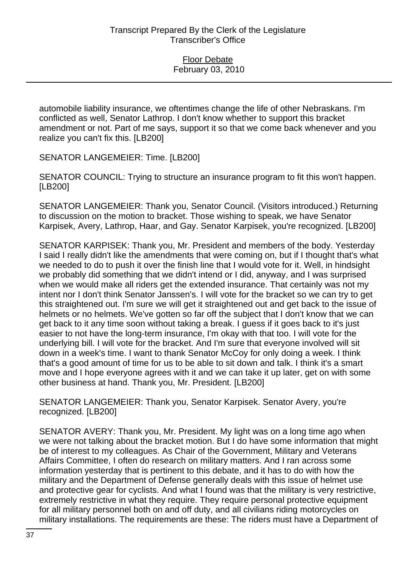automobile liability insurance, we oftentimes change the life of other Nebraskans. I'm conflicted as well, Senator Lathrop. I don't know whether to support this bracket amendment or not. Part of me says, support it so that we come back whenever and you realize you can't fix this. [LB200]

SENATOR LANGEMEIER: Time. [LB200]

SENATOR COUNCIL: Trying to structure an insurance program to fit this won't happen. [LB200]

SENATOR LANGEMEIER: Thank you, Senator Council. (Visitors introduced.) Returning to discussion on the motion to bracket. Those wishing to speak, we have Senator Karpisek, Avery, Lathrop, Haar, and Gay. Senator Karpisek, you're recognized. [LB200]

SENATOR KARPISEK: Thank you, Mr. President and members of the body. Yesterday I said I really didn't like the amendments that were coming on, but if I thought that's what we needed to do to push it over the finish line that I would vote for it. Well, in hindsight we probably did something that we didn't intend or I did, anyway, and I was surprised when we would make all riders get the extended insurance. That certainly was not my intent nor I don't think Senator Janssen's. I will vote for the bracket so we can try to get this straightened out. I'm sure we will get it straightened out and get back to the issue of helmets or no helmets. We've gotten so far off the subject that I don't know that we can get back to it any time soon without taking a break. I guess if it goes back to it's just easier to not have the long-term insurance, I'm okay with that too. I will vote for the underlying bill. I will vote for the bracket. And I'm sure that everyone involved will sit down in a week's time. I want to thank Senator McCoy for only doing a week. I think that's a good amount of time for us to be able to sit down and talk. I think it's a smart move and I hope everyone agrees with it and we can take it up later, get on with some other business at hand. Thank you, Mr. President. [LB200]

SENATOR LANGEMEIER: Thank you, Senator Karpisek. Senator Avery, you're recognized. [LB200]

SENATOR AVERY: Thank you, Mr. President. My light was on a long time ago when we were not talking about the bracket motion. But I do have some information that might be of interest to my colleagues. As Chair of the Government, Military and Veterans Affairs Committee, I often do research on military matters. And I ran across some information yesterday that is pertinent to this debate, and it has to do with how the military and the Department of Defense generally deals with this issue of helmet use and protective gear for cyclists. And what I found was that the military is very restrictive, extremely restrictive in what they require. They require personal protective equipment for all military personnel both on and off duty, and all civilians riding motorcycles on military installations. The requirements are these: The riders must have a Department of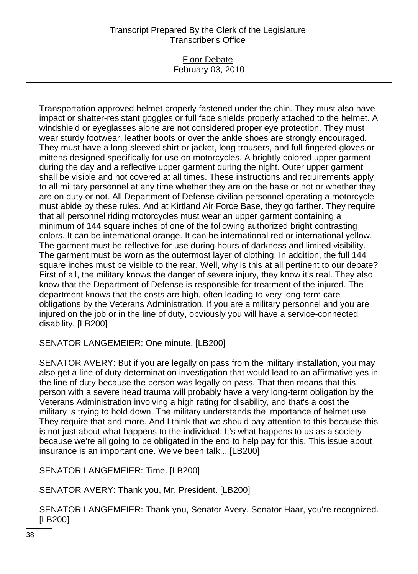### Floor Debate February 03, 2010

Transportation approved helmet properly fastened under the chin. They must also have impact or shatter-resistant goggles or full face shields properly attached to the helmet. A windshield or eyeglasses alone are not considered proper eye protection. They must wear sturdy footwear, leather boots or over the ankle shoes are strongly encouraged. They must have a long-sleeved shirt or jacket, long trousers, and full-fingered gloves or mittens designed specifically for use on motorcycles. A brightly colored upper garment during the day and a reflective upper garment during the night. Outer upper garment shall be visible and not covered at all times. These instructions and requirements apply to all military personnel at any time whether they are on the base or not or whether they are on duty or not. All Department of Defense civilian personnel operating a motorcycle must abide by these rules. And at Kirtland Air Force Base, they go farther. They require that all personnel riding motorcycles must wear an upper garment containing a minimum of 144 square inches of one of the following authorized bright contrasting colors. It can be international orange. It can be international red or international yellow. The garment must be reflective for use during hours of darkness and limited visibility. The garment must be worn as the outermost layer of clothing. In addition, the full 144 square inches must be visible to the rear. Well, why is this at all pertinent to our debate? First of all, the military knows the danger of severe injury, they know it's real. They also know that the Department of Defense is responsible for treatment of the injured. The department knows that the costs are high, often leading to very long-term care obligations by the Veterans Administration. If you are a military personnel and you are injured on the job or in the line of duty, obviously you will have a service-connected disability. [LB200]

SENATOR LANGEMEIER: One minute. [LB200]

SENATOR AVERY: But if you are legally on pass from the military installation, you may also get a line of duty determination investigation that would lead to an affirmative yes in the line of duty because the person was legally on pass. That then means that this person with a severe head trauma will probably have a very long-term obligation by the Veterans Administration involving a high rating for disability, and that's a cost the military is trying to hold down. The military understands the importance of helmet use. They require that and more. And I think that we should pay attention to this because this is not just about what happens to the individual. It's what happens to us as a society because we're all going to be obligated in the end to help pay for this. This issue about insurance is an important one. We've been talk... [LB200]

SENATOR LANGEMEIER: Time. [LB200]

SENATOR AVERY: Thank you, Mr. President. [LB200]

SENATOR LANGEMEIER: Thank you, Senator Avery. Senator Haar, you're recognized. [LB200]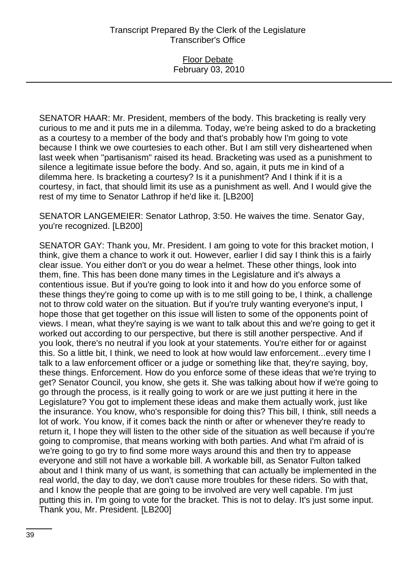### Floor Debate February 03, 2010

SENATOR HAAR: Mr. President, members of the body. This bracketing is really very curious to me and it puts me in a dilemma. Today, we're being asked to do a bracketing as a courtesy to a member of the body and that's probably how I'm going to vote because I think we owe courtesies to each other. But I am still very disheartened when last week when "partisanism" raised its head. Bracketing was used as a punishment to silence a legitimate issue before the body. And so, again, it puts me in kind of a dilemma here. Is bracketing a courtesy? Is it a punishment? And I think if it is a courtesy, in fact, that should limit its use as a punishment as well. And I would give the rest of my time to Senator Lathrop if he'd like it. [LB200]

SENATOR LANGEMEIER: Senator Lathrop, 3:50. He waives the time. Senator Gay, you're recognized. [LB200]

SENATOR GAY: Thank you, Mr. President. I am going to vote for this bracket motion, I think, give them a chance to work it out. However, earlier I did say I think this is a fairly clear issue. You either don't or you do wear a helmet. These other things, look into them, fine. This has been done many times in the Legislature and it's always a contentious issue. But if you're going to look into it and how do you enforce some of these things they're going to come up with is to me still going to be, I think, a challenge not to throw cold water on the situation. But if you're truly wanting everyone's input, I hope those that get together on this issue will listen to some of the opponents point of views. I mean, what they're saying is we want to talk about this and we're going to get it worked out according to our perspective, but there is still another perspective. And if you look, there's no neutral if you look at your statements. You're either for or against this. So a little bit, I think, we need to look at how would law enforcement...every time I talk to a law enforcement officer or a judge or something like that, they're saying, boy, these things. Enforcement. How do you enforce some of these ideas that we're trying to get? Senator Council, you know, she gets it. She was talking about how if we're going to go through the process, is it really going to work or are we just putting it here in the Legislature? You got to implement these ideas and make them actually work, just like the insurance. You know, who's responsible for doing this? This bill, I think, still needs a lot of work. You know, if it comes back the ninth or after or whenever they're ready to return it, I hope they will listen to the other side of the situation as well because if you're going to compromise, that means working with both parties. And what I'm afraid of is we're going to go try to find some more ways around this and then try to appease everyone and still not have a workable bill. A workable bill, as Senator Fulton talked about and I think many of us want, is something that can actually be implemented in the real world, the day to day, we don't cause more troubles for these riders. So with that, and I know the people that are going to be involved are very well capable. I'm just putting this in. I'm going to vote for the bracket. This is not to delay. It's just some input. Thank you, Mr. President. [LB200]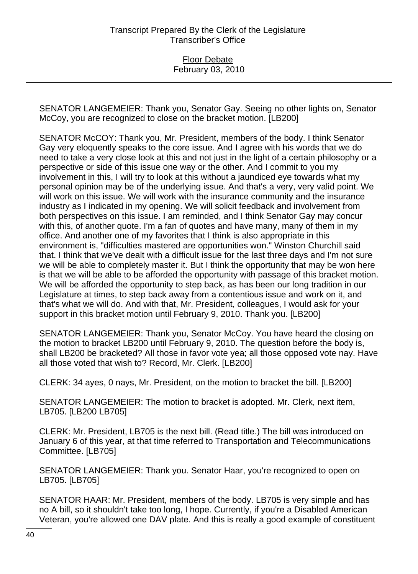SENATOR LANGEMEIER: Thank you, Senator Gay. Seeing no other lights on, Senator McCoy, you are recognized to close on the bracket motion. [LB200]

SENATOR McCOY: Thank you, Mr. President, members of the body. I think Senator Gay very eloquently speaks to the core issue. And I agree with his words that we do need to take a very close look at this and not just in the light of a certain philosophy or a perspective or side of this issue one way or the other. And I commit to you my involvement in this, I will try to look at this without a jaundiced eye towards what my personal opinion may be of the underlying issue. And that's a very, very valid point. We will work on this issue. We will work with the insurance community and the insurance industry as I indicated in my opening. We will solicit feedback and involvement from both perspectives on this issue. I am reminded, and I think Senator Gay may concur with this, of another quote. I'm a fan of quotes and have many, many of them in my office. And another one of my favorites that I think is also appropriate in this environment is, "difficulties mastered are opportunities won." Winston Churchill said that. I think that we've dealt with a difficult issue for the last three days and I'm not sure we will be able to completely master it. But I think the opportunity that may be won here is that we will be able to be afforded the opportunity with passage of this bracket motion. We will be afforded the opportunity to step back, as has been our long tradition in our Legislature at times, to step back away from a contentious issue and work on it, and that's what we will do. And with that, Mr. President, colleagues, I would ask for your support in this bracket motion until February 9, 2010. Thank you. [LB200]

SENATOR LANGEMEIER: Thank you, Senator McCoy. You have heard the closing on the motion to bracket LB200 until February 9, 2010. The question before the body is, shall LB200 be bracketed? All those in favor vote yea; all those opposed vote nay. Have all those voted that wish to? Record, Mr. Clerk. [LB200]

CLERK: 34 ayes, 0 nays, Mr. President, on the motion to bracket the bill. [LB200]

SENATOR LANGEMEIER: The motion to bracket is adopted. Mr. Clerk, next item, LB705. [LB200 LB705]

CLERK: Mr. President, LB705 is the next bill. (Read title.) The bill was introduced on January 6 of this year, at that time referred to Transportation and Telecommunications Committee. [LB705]

SENATOR LANGEMEIER: Thank you. Senator Haar, you're recognized to open on LB705. [LB705]

SENATOR HAAR: Mr. President, members of the body. LB705 is very simple and has no A bill, so it shouldn't take too long, I hope. Currently, if you're a Disabled American Veteran, you're allowed one DAV plate. And this is really a good example of constituent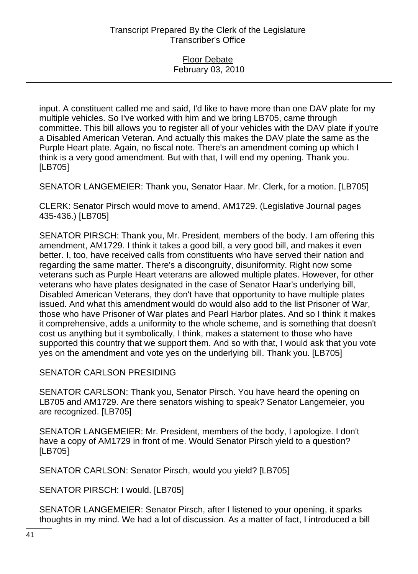input. A constituent called me and said, I'd like to have more than one DAV plate for my multiple vehicles. So I've worked with him and we bring LB705, came through committee. This bill allows you to register all of your vehicles with the DAV plate if you're a Disabled American Veteran. And actually this makes the DAV plate the same as the Purple Heart plate. Again, no fiscal note. There's an amendment coming up which I think is a very good amendment. But with that, I will end my opening. Thank you. [LB705]

SENATOR LANGEMEIER: Thank you, Senator Haar. Mr. Clerk, for a motion. [LB705]

CLERK: Senator Pirsch would move to amend, AM1729. (Legislative Journal pages 435-436.) [LB705]

SENATOR PIRSCH: Thank you, Mr. President, members of the body. I am offering this amendment, AM1729. I think it takes a good bill, a very good bill, and makes it even better. I, too, have received calls from constituents who have served their nation and regarding the same matter. There's a discongruity, disuniformity. Right now some veterans such as Purple Heart veterans are allowed multiple plates. However, for other veterans who have plates designated in the case of Senator Haar's underlying bill, Disabled American Veterans, they don't have that opportunity to have multiple plates issued. And what this amendment would do would also add to the list Prisoner of War, those who have Prisoner of War plates and Pearl Harbor plates. And so I think it makes it comprehensive, adds a uniformity to the whole scheme, and is something that doesn't cost us anything but it symbolically, I think, makes a statement to those who have supported this country that we support them. And so with that, I would ask that you vote yes on the amendment and vote yes on the underlying bill. Thank you. [LB705]

SENATOR CARLSON PRESIDING

SENATOR CARLSON: Thank you, Senator Pirsch. You have heard the opening on LB705 and AM1729. Are there senators wishing to speak? Senator Langemeier, you are recognized. [LB705]

SENATOR LANGEMEIER: Mr. President, members of the body, I apologize. I don't have a copy of AM1729 in front of me. Would Senator Pirsch yield to a question? [LB705]

SENATOR CARLSON: Senator Pirsch, would you yield? [LB705]

SENATOR PIRSCH: I would. [LB705]

SENATOR LANGEMEIER: Senator Pirsch, after I listened to your opening, it sparks thoughts in my mind. We had a lot of discussion. As a matter of fact, I introduced a bill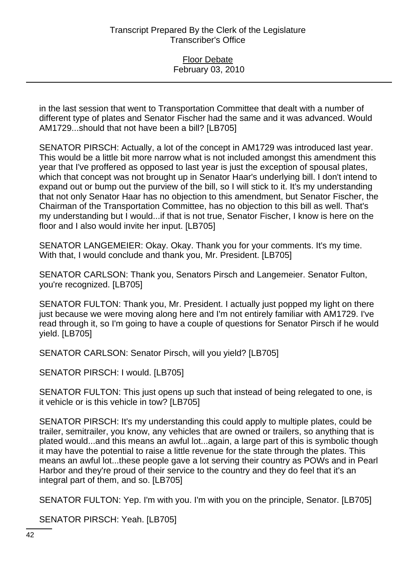### Floor Debate February 03, 2010

in the last session that went to Transportation Committee that dealt with a number of different type of plates and Senator Fischer had the same and it was advanced. Would AM1729...should that not have been a bill? [LB705]

SENATOR PIRSCH: Actually, a lot of the concept in AM1729 was introduced last year. This would be a little bit more narrow what is not included amongst this amendment this year that I've proffered as opposed to last year is just the exception of spousal plates, which that concept was not brought up in Senator Haar's underlying bill. I don't intend to expand out or bump out the purview of the bill, so I will stick to it. It's my understanding that not only Senator Haar has no objection to this amendment, but Senator Fischer, the Chairman of the Transportation Committee, has no objection to this bill as well. That's my understanding but I would...if that is not true, Senator Fischer, I know is here on the floor and I also would invite her input. [LB705]

SENATOR LANGEMEIER: Okay. Okay. Thank you for your comments. It's my time. With that, I would conclude and thank you, Mr. President. [LB705]

SENATOR CARLSON: Thank you, Senators Pirsch and Langemeier. Senator Fulton, you're recognized. [LB705]

SENATOR FULTON: Thank you, Mr. President. I actually just popped my light on there just because we were moving along here and I'm not entirely familiar with AM1729. I've read through it, so I'm going to have a couple of questions for Senator Pirsch if he would yield. [LB705]

SENATOR CARLSON: Senator Pirsch, will you yield? [LB705]

SENATOR PIRSCH: I would. [LB705]

SENATOR FULTON: This just opens up such that instead of being relegated to one, is it vehicle or is this vehicle in tow? [LB705]

SENATOR PIRSCH: It's my understanding this could apply to multiple plates, could be trailer, semitrailer, you know, any vehicles that are owned or trailers, so anything that is plated would...and this means an awful lot...again, a large part of this is symbolic though it may have the potential to raise a little revenue for the state through the plates. This means an awful lot...these people gave a lot serving their country as POWs and in Pearl Harbor and they're proud of their service to the country and they do feel that it's an integral part of them, and so. [LB705]

SENATOR FULTON: Yep. I'm with you. I'm with you on the principle, Senator. [LB705]

SENATOR PIRSCH: Yeah. [LB705]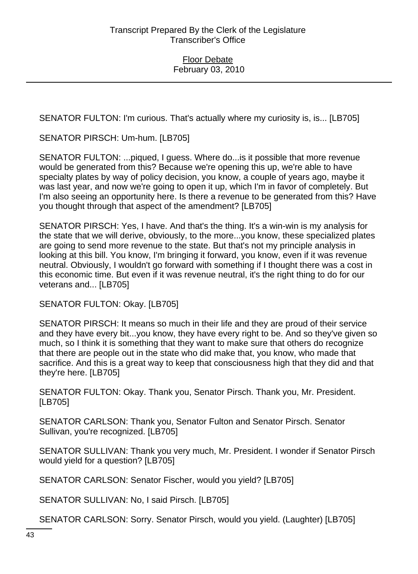SENATOR FULTON: I'm curious. That's actually where my curiosity is, is... [LB705]

SENATOR PIRSCH: Um-hum. [LB705]

SENATOR FULTON: ...piqued, I guess. Where do...is it possible that more revenue would be generated from this? Because we're opening this up, we're able to have specialty plates by way of policy decision, you know, a couple of years ago, maybe it was last year, and now we're going to open it up, which I'm in favor of completely. But I'm also seeing an opportunity here. Is there a revenue to be generated from this? Have you thought through that aspect of the amendment? [LB705]

SENATOR PIRSCH: Yes, I have. And that's the thing. It's a win-win is my analysis for the state that we will derive, obviously, to the more...you know, these specialized plates are going to send more revenue to the state. But that's not my principle analysis in looking at this bill. You know, I'm bringing it forward, you know, even if it was revenue neutral. Obviously, I wouldn't go forward with something if I thought there was a cost in this economic time. But even if it was revenue neutral, it's the right thing to do for our veterans and... [LB705]

SENATOR FULTON: Okay. [LB705]

SENATOR PIRSCH: It means so much in their life and they are proud of their service and they have every bit...you know, they have every right to be. And so they've given so much, so I think it is something that they want to make sure that others do recognize that there are people out in the state who did make that, you know, who made that sacrifice. And this is a great way to keep that consciousness high that they did and that they're here. [LB705]

SENATOR FULTON: Okay. Thank you, Senator Pirsch. Thank you, Mr. President. [LB705]

SENATOR CARLSON: Thank you, Senator Fulton and Senator Pirsch. Senator Sullivan, you're recognized. [LB705]

SENATOR SULLIVAN: Thank you very much, Mr. President. I wonder if Senator Pirsch would yield for a question? [LB705]

SENATOR CARLSON: Senator Fischer, would you yield? [LB705]

SENATOR SULLIVAN: No, I said Pirsch. [LB705]

SENATOR CARLSON: Sorry. Senator Pirsch, would you yield. (Laughter) [LB705]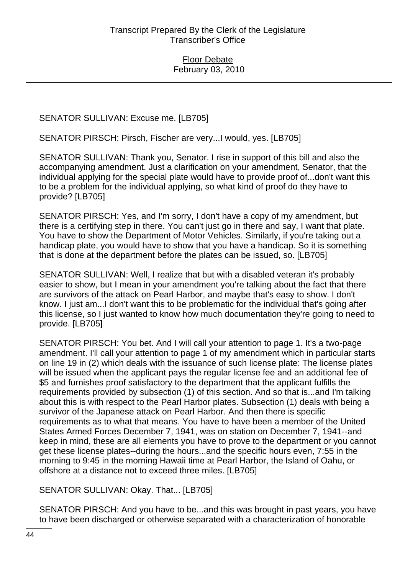### SENATOR SULLIVAN: Excuse me. [LB705]

SENATOR PIRSCH: Pirsch, Fischer are very...I would, yes. [LB705]

SENATOR SULLIVAN: Thank you, Senator. I rise in support of this bill and also the accompanying amendment. Just a clarification on your amendment, Senator, that the individual applying for the special plate would have to provide proof of...don't want this to be a problem for the individual applying, so what kind of proof do they have to provide? [LB705]

SENATOR PIRSCH: Yes, and I'm sorry, I don't have a copy of my amendment, but there is a certifying step in there. You can't just go in there and say, I want that plate. You have to show the Department of Motor Vehicles. Similarly, if you're taking out a handicap plate, you would have to show that you have a handicap. So it is something that is done at the department before the plates can be issued, so. [LB705]

SENATOR SULLIVAN: Well, I realize that but with a disabled veteran it's probably easier to show, but I mean in your amendment you're talking about the fact that there are survivors of the attack on Pearl Harbor, and maybe that's easy to show. I don't know. I just am...I don't want this to be problematic for the individual that's going after this license, so I just wanted to know how much documentation they're going to need to provide. [LB705]

SENATOR PIRSCH: You bet. And I will call your attention to page 1. It's a two-page amendment. I'll call your attention to page 1 of my amendment which in particular starts on line 19 in (2) which deals with the issuance of such license plate: The license plates will be issued when the applicant pays the regular license fee and an additional fee of \$5 and furnishes proof satisfactory to the department that the applicant fulfills the requirements provided by subsection (1) of this section. And so that is...and I'm talking about this is with respect to the Pearl Harbor plates. Subsection (1) deals with being a survivor of the Japanese attack on Pearl Harbor. And then there is specific requirements as to what that means. You have to have been a member of the United States Armed Forces December 7, 1941, was on station on December 7, 1941--and keep in mind, these are all elements you have to prove to the department or you cannot get these license plates--during the hours...and the specific hours even, 7:55 in the morning to 9:45 in the morning Hawaii time at Pearl Harbor, the Island of Oahu, or offshore at a distance not to exceed three miles. [LB705]

SENATOR SULLIVAN: Okay. That... [LB705]

SENATOR PIRSCH: And you have to be...and this was brought in past years, you have to have been discharged or otherwise separated with a characterization of honorable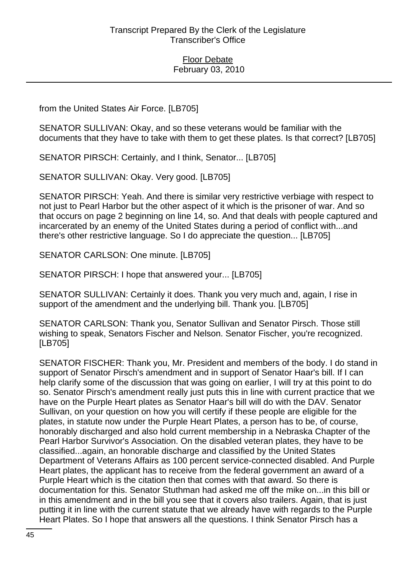from the United States Air Force. [LB705]

SENATOR SULLIVAN: Okay, and so these veterans would be familiar with the documents that they have to take with them to get these plates. Is that correct? [LB705]

SENATOR PIRSCH: Certainly, and I think, Senator... [LB705]

SENATOR SULLIVAN: Okay. Very good. [LB705]

SENATOR PIRSCH: Yeah. And there is similar very restrictive verbiage with respect to not just to Pearl Harbor but the other aspect of it which is the prisoner of war. And so that occurs on page 2 beginning on line 14, so. And that deals with people captured and incarcerated by an enemy of the United States during a period of conflict with...and there's other restrictive language. So I do appreciate the question... [LB705]

SENATOR CARLSON: One minute. [LB705]

SENATOR PIRSCH: I hope that answered your... [LB705]

SENATOR SULLIVAN: Certainly it does. Thank you very much and, again, I rise in support of the amendment and the underlying bill. Thank you. [LB705]

SENATOR CARLSON: Thank you, Senator Sullivan and Senator Pirsch. Those still wishing to speak, Senators Fischer and Nelson. Senator Fischer, you're recognized. [LB705]

SENATOR FISCHER: Thank you, Mr. President and members of the body. I do stand in support of Senator Pirsch's amendment and in support of Senator Haar's bill. If I can help clarify some of the discussion that was going on earlier, I will try at this point to do so. Senator Pirsch's amendment really just puts this in line with current practice that we have on the Purple Heart plates as Senator Haar's bill will do with the DAV. Senator Sullivan, on your question on how you will certify if these people are eligible for the plates, in statute now under the Purple Heart Plates, a person has to be, of course, honorably discharged and also hold current membership in a Nebraska Chapter of the Pearl Harbor Survivor's Association. On the disabled veteran plates, they have to be classified...again, an honorable discharge and classified by the United States Department of Veterans Affairs as 100 percent service-connected disabled. And Purple Heart plates, the applicant has to receive from the federal government an award of a Purple Heart which is the citation then that comes with that award. So there is documentation for this. Senator Stuthman had asked me off the mike on...in this bill or in this amendment and in the bill you see that it covers also trailers. Again, that is just putting it in line with the current statute that we already have with regards to the Purple Heart Plates. So I hope that answers all the questions. I think Senator Pirsch has a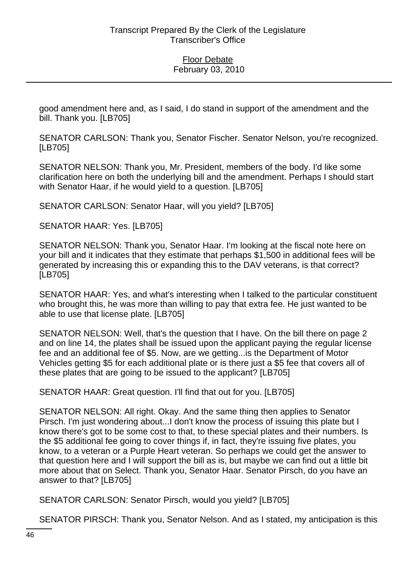good amendment here and, as I said, I do stand in support of the amendment and the bill. Thank you. [LB705]

SENATOR CARLSON: Thank you, Senator Fischer. Senator Nelson, you're recognized. [LB705]

SENATOR NELSON: Thank you, Mr. President, members of the body. I'd like some clarification here on both the underlying bill and the amendment. Perhaps I should start with Senator Haar, if he would yield to a question. [LB705]

SENATOR CARLSON: Senator Haar, will you yield? [LB705]

SENATOR HAAR: Yes. [LB705]

SENATOR NELSON: Thank you, Senator Haar. I'm looking at the fiscal note here on your bill and it indicates that they estimate that perhaps \$1,500 in additional fees will be generated by increasing this or expanding this to the DAV veterans, is that correct? [LB705]

SENATOR HAAR: Yes, and what's interesting when I talked to the particular constituent who brought this, he was more than willing to pay that extra fee. He just wanted to be able to use that license plate. [LB705]

SENATOR NELSON: Well, that's the question that I have. On the bill there on page 2 and on line 14, the plates shall be issued upon the applicant paying the regular license fee and an additional fee of \$5. Now, are we getting...is the Department of Motor Vehicles getting \$5 for each additional plate or is there just a \$5 fee that covers all of these plates that are going to be issued to the applicant? [LB705]

SENATOR HAAR: Great question. I'll find that out for you. [LB705]

SENATOR NELSON: All right. Okay. And the same thing then applies to Senator Pirsch. I'm just wondering about...I don't know the process of issuing this plate but I know there's got to be some cost to that, to these special plates and their numbers. Is the \$5 additional fee going to cover things if, in fact, they're issuing five plates, you know, to a veteran or a Purple Heart veteran. So perhaps we could get the answer to that question here and I will support the bill as is, but maybe we can find out a little bit more about that on Select. Thank you, Senator Haar. Senator Pirsch, do you have an answer to that? [LB705]

SENATOR CARLSON: Senator Pirsch, would you yield? [LB705]

SENATOR PIRSCH: Thank you, Senator Nelson. And as I stated, my anticipation is this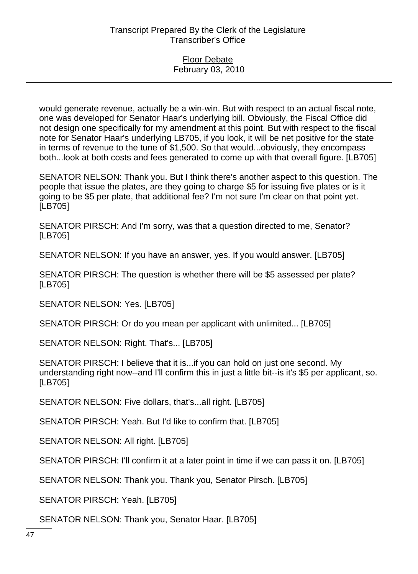would generate revenue, actually be a win-win. But with respect to an actual fiscal note, one was developed for Senator Haar's underlying bill. Obviously, the Fiscal Office did not design one specifically for my amendment at this point. But with respect to the fiscal note for Senator Haar's underlying LB705, if you look, it will be net positive for the state in terms of revenue to the tune of \$1,500. So that would...obviously, they encompass both...look at both costs and fees generated to come up with that overall figure. [LB705]

SENATOR NELSON: Thank you. But I think there's another aspect to this question. The people that issue the plates, are they going to charge \$5 for issuing five plates or is it going to be \$5 per plate, that additional fee? I'm not sure I'm clear on that point yet. [LB705]

SENATOR PIRSCH: And I'm sorry, was that a question directed to me, Senator? [LB705]

SENATOR NELSON: If you have an answer, yes. If you would answer. [LB705]

SENATOR PIRSCH: The question is whether there will be \$5 assessed per plate? [LB705]

SENATOR NELSON: Yes. [LB705]

SENATOR PIRSCH: Or do you mean per applicant with unlimited... [LB705]

SENATOR NELSON: Right. That's... [LB705]

SENATOR PIRSCH: I believe that it is...if you can hold on just one second. My understanding right now--and I'll confirm this in just a little bit--is it's \$5 per applicant, so. [LB705]

SENATOR NELSON: Five dollars, that's...all right. [LB705]

SENATOR PIRSCH: Yeah. But I'd like to confirm that. [LB705]

SENATOR NELSON: All right. [LB705]

SENATOR PIRSCH: I'll confirm it at a later point in time if we can pass it on. [LB705]

SENATOR NELSON: Thank you. Thank you, Senator Pirsch. [LB705]

SENATOR PIRSCH: Yeah. [LB705]

SENATOR NELSON: Thank you, Senator Haar. [LB705]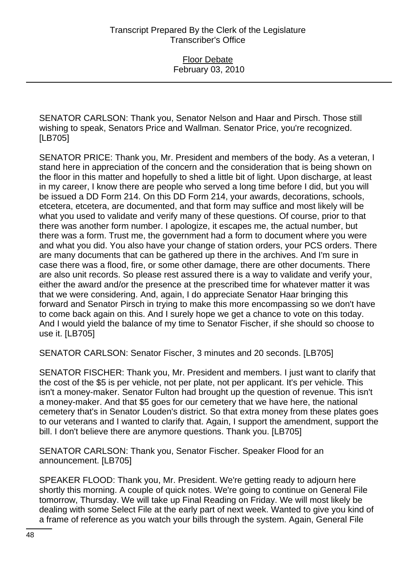SENATOR CARLSON: Thank you, Senator Nelson and Haar and Pirsch. Those still wishing to speak, Senators Price and Wallman. Senator Price, you're recognized. [LB705]

SENATOR PRICE: Thank you, Mr. President and members of the body. As a veteran, I stand here in appreciation of the concern and the consideration that is being shown on the floor in this matter and hopefully to shed a little bit of light. Upon discharge, at least in my career, I know there are people who served a long time before I did, but you will be issued a DD Form 214. On this DD Form 214, your awards, decorations, schools, etcetera, etcetera, are documented, and that form may suffice and most likely will be what you used to validate and verify many of these questions. Of course, prior to that there was another form number. I apologize, it escapes me, the actual number, but there was a form. Trust me, the government had a form to document where you were and what you did. You also have your change of station orders, your PCS orders. There are many documents that can be gathered up there in the archives. And I'm sure in case there was a flood, fire, or some other damage, there are other documents. There are also unit records. So please rest assured there is a way to validate and verify your, either the award and/or the presence at the prescribed time for whatever matter it was that we were considering. And, again, I do appreciate Senator Haar bringing this forward and Senator Pirsch in trying to make this more encompassing so we don't have to come back again on this. And I surely hope we get a chance to vote on this today. And I would yield the balance of my time to Senator Fischer, if she should so choose to use it. [LB705]

SENATOR CARLSON: Senator Fischer, 3 minutes and 20 seconds. [LB705]

SENATOR FISCHER: Thank you, Mr. President and members. I just want to clarify that the cost of the \$5 is per vehicle, not per plate, not per applicant. It's per vehicle. This isn't a money-maker. Senator Fulton had brought up the question of revenue. This isn't a money-maker. And that \$5 goes for our cemetery that we have here, the national cemetery that's in Senator Louden's district. So that extra money from these plates goes to our veterans and I wanted to clarify that. Again, I support the amendment, support the bill. I don't believe there are anymore questions. Thank you. [LB705]

SENATOR CARLSON: Thank you, Senator Fischer. Speaker Flood for an announcement. [LB705]

SPEAKER FLOOD: Thank you, Mr. President. We're getting ready to adjourn here shortly this morning. A couple of quick notes. We're going to continue on General File tomorrow, Thursday. We will take up Final Reading on Friday. We will most likely be dealing with some Select File at the early part of next week. Wanted to give you kind of a frame of reference as you watch your bills through the system. Again, General File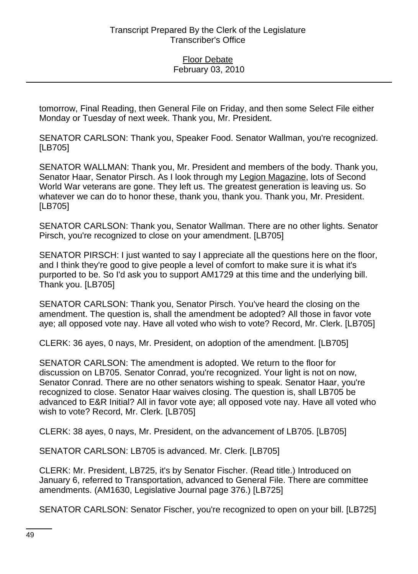tomorrow, Final Reading, then General File on Friday, and then some Select File either Monday or Tuesday of next week. Thank you, Mr. President.

SENATOR CARLSON: Thank you, Speaker Food. Senator Wallman, you're recognized. [LB705]

SENATOR WALLMAN: Thank you, Mr. President and members of the body. Thank you, Senator Haar, Senator Pirsch. As I look through my Legion Magazine, lots of Second World War veterans are gone. They left us. The greatest generation is leaving us. So whatever we can do to honor these, thank you, thank you. Thank you, Mr. President. [LB705]

SENATOR CARLSON: Thank you, Senator Wallman. There are no other lights. Senator Pirsch, you're recognized to close on your amendment. [LB705]

SENATOR PIRSCH: I just wanted to say I appreciate all the questions here on the floor, and I think they're good to give people a level of comfort to make sure it is what it's purported to be. So I'd ask you to support AM1729 at this time and the underlying bill. Thank you. [LB705]

SENATOR CARLSON: Thank you, Senator Pirsch. You've heard the closing on the amendment. The question is, shall the amendment be adopted? All those in favor vote aye; all opposed vote nay. Have all voted who wish to vote? Record, Mr. Clerk. [LB705]

CLERK: 36 ayes, 0 nays, Mr. President, on adoption of the amendment. [LB705]

SENATOR CARLSON: The amendment is adopted. We return to the floor for discussion on LB705. Senator Conrad, you're recognized. Your light is not on now, Senator Conrad. There are no other senators wishing to speak. Senator Haar, you're recognized to close. Senator Haar waives closing. The question is, shall LB705 be advanced to E&R Initial? All in favor vote aye; all opposed vote nay. Have all voted who wish to vote? Record, Mr. Clerk. [LB705]

CLERK: 38 ayes, 0 nays, Mr. President, on the advancement of LB705. [LB705]

SENATOR CARLSON: LB705 is advanced. Mr. Clerk. [LB705]

CLERK: Mr. President, LB725, it's by Senator Fischer. (Read title.) Introduced on January 6, referred to Transportation, advanced to General File. There are committee amendments. (AM1630, Legislative Journal page 376.) [LB725]

SENATOR CARLSON: Senator Fischer, you're recognized to open on your bill. [LB725]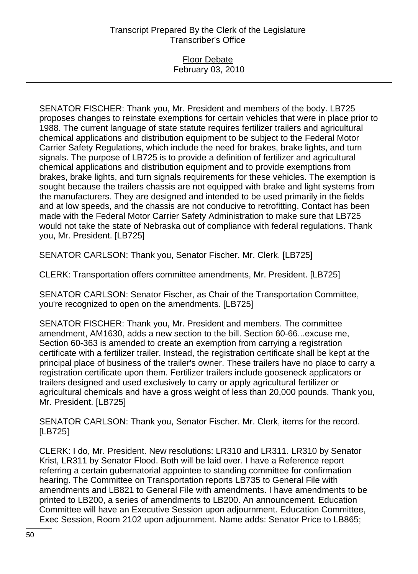### Floor Debate February 03, 2010

SENATOR FISCHER: Thank you, Mr. President and members of the body. LB725 proposes changes to reinstate exemptions for certain vehicles that were in place prior to 1988. The current language of state statute requires fertilizer trailers and agricultural chemical applications and distribution equipment to be subject to the Federal Motor Carrier Safety Regulations, which include the need for brakes, brake lights, and turn signals. The purpose of LB725 is to provide a definition of fertilizer and agricultural chemical applications and distribution equipment and to provide exemptions from brakes, brake lights, and turn signals requirements for these vehicles. The exemption is sought because the trailers chassis are not equipped with brake and light systems from the manufacturers. They are designed and intended to be used primarily in the fields and at low speeds, and the chassis are not conducive to retrofitting. Contact has been made with the Federal Motor Carrier Safety Administration to make sure that LB725 would not take the state of Nebraska out of compliance with federal regulations. Thank you, Mr. President. [LB725]

SENATOR CARLSON: Thank you, Senator Fischer. Mr. Clerk. [LB725]

CLERK: Transportation offers committee amendments, Mr. President. [LB725]

SENATOR CARLSON: Senator Fischer, as Chair of the Transportation Committee, you're recognized to open on the amendments. [LB725]

SENATOR FISCHER: Thank you, Mr. President and members. The committee amendment, AM1630, adds a new section to the bill. Section 60-66...excuse me, Section 60-363 is amended to create an exemption from carrying a registration certificate with a fertilizer trailer. Instead, the registration certificate shall be kept at the principal place of business of the trailer's owner. These trailers have no place to carry a registration certificate upon them. Fertilizer trailers include gooseneck applicators or trailers designed and used exclusively to carry or apply agricultural fertilizer or agricultural chemicals and have a gross weight of less than 20,000 pounds. Thank you, Mr. President. [LB725]

SENATOR CARLSON: Thank you, Senator Fischer. Mr. Clerk, items for the record. [LB725]

CLERK: I do, Mr. President. New resolutions: LR310 and LR311. LR310 by Senator Krist, LR311 by Senator Flood. Both will be laid over. I have a Reference report referring a certain gubernatorial appointee to standing committee for confirmation hearing. The Committee on Transportation reports LB735 to General File with amendments and LB821 to General File with amendments. I have amendments to be printed to LB200, a series of amendments to LB200. An announcement. Education Committee will have an Executive Session upon adjournment. Education Committee, Exec Session, Room 2102 upon adjournment. Name adds: Senator Price to LB865;